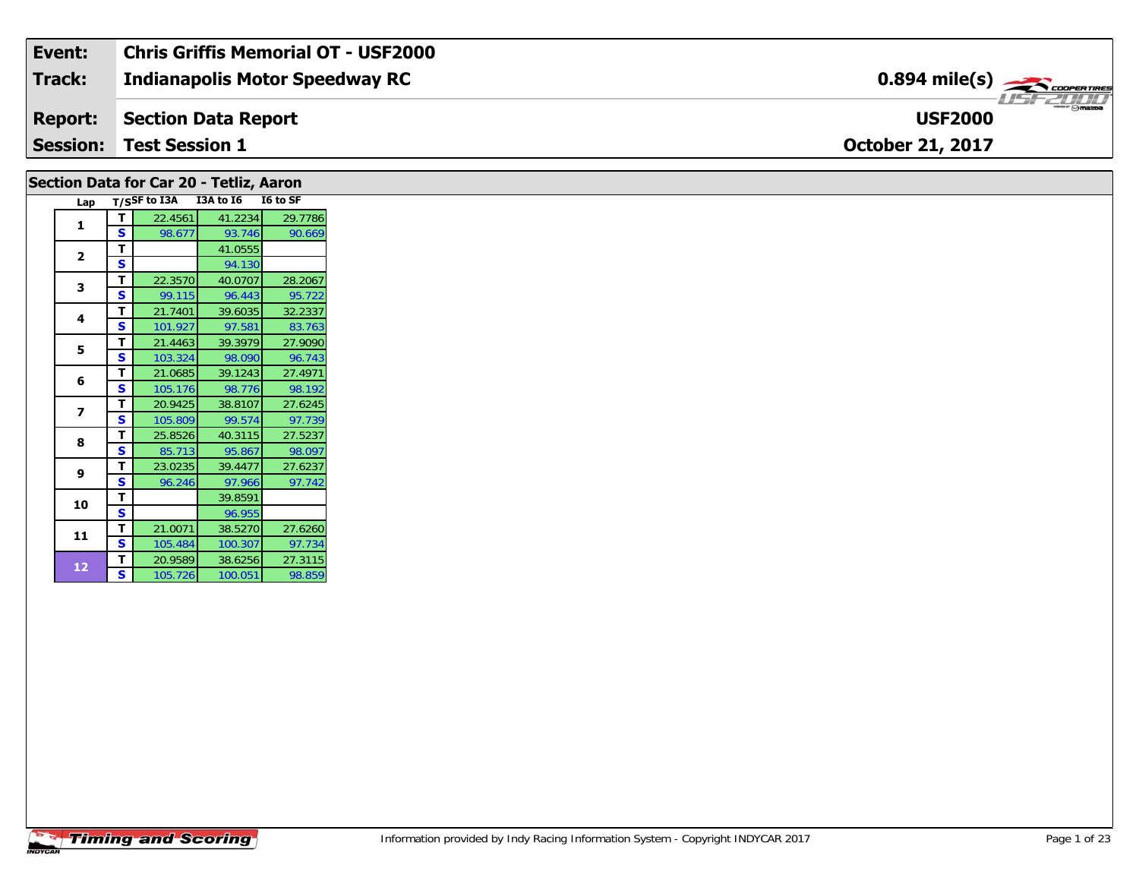| Event:         | <b>Chris Griffis Memorial OT - USF2000</b> |                                                       |
|----------------|--------------------------------------------|-------------------------------------------------------|
| Track:         | <b>Indianapolis Motor Speedway RC</b>      | $0.894$ mile(s) $\overbrace{\hspace{2cm}}$ coorganges |
| <b>Report:</b> | Section Data Report                        | $\overline{\odot}$ mazpa<br><b>USF2000</b>            |
|                | <b>Session: Test Session 1</b>             | <b>October 21, 2017</b>                               |

|                |   | Section Data for Car 20 - Tetliz, Aaron |           |          |
|----------------|---|-----------------------------------------|-----------|----------|
| Lap            |   | T/SSF to I3A                            | I3A to I6 | I6 to SF |
| 1              | т | 22.4561                                 | 41.2234   | 29.7786  |
|                | Ś | 98.677                                  | 93.746    | 90.669   |
| $\overline{2}$ | т |                                         | 41.0555   |          |
|                | S |                                         | 94.130    |          |
| 3              | т | 22.3570                                 | 40.0707   | 28.2067  |
|                | Ś | 99.115                                  | 96.443    | 95.722   |
| 4              | т | 21.7401                                 | 39.6035   | 32.2337  |
|                | Ś | 101.927                                 | 97.581    | 83.763   |
| 5              | т | 21.4463                                 | 39.3979   | 27.9090  |
|                | S | 103.324                                 | 98.090    | 96.743   |
|                | т | 21.0685                                 | 39.1243   | 27.4971  |
| 6              | S | 105.176                                 | 98.776    | 98.192   |
|                | T | 20.9425                                 | 38.8107   | 27.6245  |
| 7              | S | 105.809                                 | 99.574    | 97.739   |
|                | T | 25.8526                                 | 40.3115   | 27.5237  |
| 8              | Ś | 85.713                                  | 95.867    | 98.097   |
|                | т | 23.0235                                 | 39.4477   | 27.6237  |
| 9              | S | 96.246                                  | 97.966    | 97.742   |
|                | т |                                         | 39.8591   |          |
| 10             | Ś |                                         | 96.955    |          |
|                | т | 21.0071                                 | 38.5270   | 27.6260  |
| 11             | S | 105.484                                 | 100.307   | 97.734   |
|                | т | 20.9589                                 | 38.6256   | 27.3115  |
| 12             | S | 105.726                                 | 100.051   | 98.859   |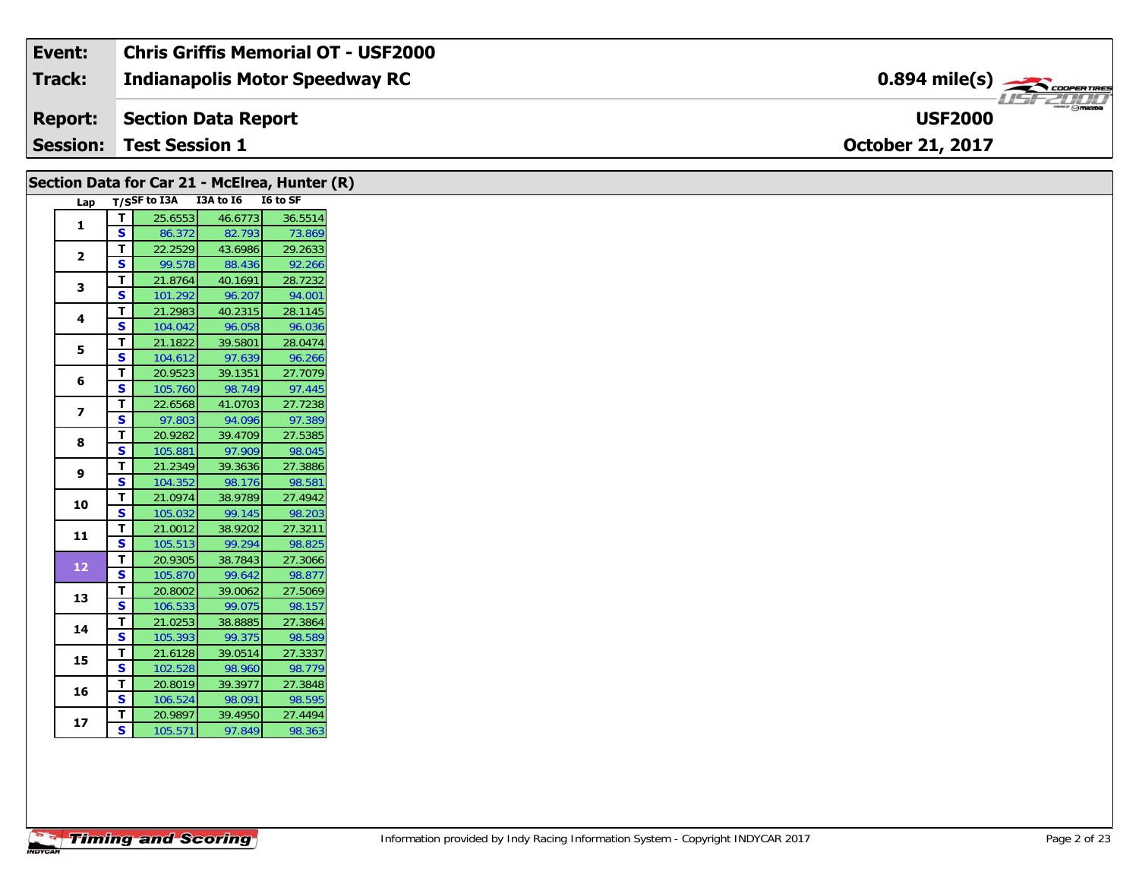| Event:          | <b>Chris Griffis Memorial OT - USF2000</b> |                                   |
|-----------------|--------------------------------------------|-----------------------------------|
| Track:          | Indianapolis Motor Speedway RC             | $0.894$ mile(s) $\frac{1}{2}$     |
| Report:         | Section Data Report                        | $ \Theta$ mazoa<br><b>USF2000</b> |
| <b>Session:</b> | <b>Test Session 1</b>                      | <b>October 21, 2017</b>           |

| Lap T/SSF to I3A I3A to I6 I6 to SF<br>25.6553<br>46.6773<br>T<br>$\mathbf{1}$<br>$\mathbf{s}$<br>82.793<br>86.372<br>T.<br>22.2529<br>43.6986<br>$\overline{2}$<br><b>S</b><br>99.578<br>88.436<br>Τ<br>21.8764<br>40.1691<br>3<br>S.<br>96.207<br>101.292<br>21.2983<br>40.2315<br>T.<br>4<br><b>S</b><br>96.058<br>104.042<br>21.1822<br>39.5801<br>T.<br>5<br><b>S</b><br>104.612<br>97.639<br>20.9523<br>39.1351<br>T.<br>6<br>S<br>105.760<br>98.749<br>22.6568<br>41.0703<br>T.<br>$\overline{z}$<br><b>S</b><br>97.803<br>94.096<br>T.<br>20.9282<br>39.4709<br>8<br>$\overline{\mathbf{s}}$<br>105.881<br>97.909<br>T.<br>21.2349<br>39.3636<br>9<br>S<br>104.352<br>98.176<br>T.<br>21.0974<br>38.9789<br>10<br>$\overline{\mathbf{s}}$<br>105.032<br>99.145<br>T.<br>21.0012<br>38.9202<br>11<br>S<br>99.294<br>105.513<br>$\mathbf T$<br>38.7843<br>20.9305<br>12<br>S<br>99.642<br>105.870<br>$\mathbf T$<br>20.8002<br>39.0062<br>13<br><b>S</b><br>106.533<br>99.075<br>T.<br>21.0253<br>38.8885<br>14<br>S.<br>99.375<br>105.393<br>T.<br>21.6128<br>39.0514<br>15<br><b>S</b><br>102.528<br>98.960<br>T.<br>20.8019<br>39.3977<br>16<br>S.<br>98.091<br>106.524<br>Τ.<br>20.9897<br>39.4950<br>17<br>S<br>105.571<br>97.849 |  |  | Section Data for Car 21 - McElrea, Hunter (R) |
|----------------------------------------------------------------------------------------------------------------------------------------------------------------------------------------------------------------------------------------------------------------------------------------------------------------------------------------------------------------------------------------------------------------------------------------------------------------------------------------------------------------------------------------------------------------------------------------------------------------------------------------------------------------------------------------------------------------------------------------------------------------------------------------------------------------------------------------------------------------------------------------------------------------------------------------------------------------------------------------------------------------------------------------------------------------------------------------------------------------------------------------------------------------------------------------------------------------------------------------------|--|--|-----------------------------------------------|
|                                                                                                                                                                                                                                                                                                                                                                                                                                                                                                                                                                                                                                                                                                                                                                                                                                                                                                                                                                                                                                                                                                                                                                                                                                              |  |  |                                               |
|                                                                                                                                                                                                                                                                                                                                                                                                                                                                                                                                                                                                                                                                                                                                                                                                                                                                                                                                                                                                                                                                                                                                                                                                                                              |  |  | 36.5514                                       |
|                                                                                                                                                                                                                                                                                                                                                                                                                                                                                                                                                                                                                                                                                                                                                                                                                                                                                                                                                                                                                                                                                                                                                                                                                                              |  |  | 73.869                                        |
|                                                                                                                                                                                                                                                                                                                                                                                                                                                                                                                                                                                                                                                                                                                                                                                                                                                                                                                                                                                                                                                                                                                                                                                                                                              |  |  | 29.2633                                       |
|                                                                                                                                                                                                                                                                                                                                                                                                                                                                                                                                                                                                                                                                                                                                                                                                                                                                                                                                                                                                                                                                                                                                                                                                                                              |  |  | 92.266                                        |
|                                                                                                                                                                                                                                                                                                                                                                                                                                                                                                                                                                                                                                                                                                                                                                                                                                                                                                                                                                                                                                                                                                                                                                                                                                              |  |  | 28.7232                                       |
|                                                                                                                                                                                                                                                                                                                                                                                                                                                                                                                                                                                                                                                                                                                                                                                                                                                                                                                                                                                                                                                                                                                                                                                                                                              |  |  | 94.001                                        |
|                                                                                                                                                                                                                                                                                                                                                                                                                                                                                                                                                                                                                                                                                                                                                                                                                                                                                                                                                                                                                                                                                                                                                                                                                                              |  |  | 28.1145                                       |
|                                                                                                                                                                                                                                                                                                                                                                                                                                                                                                                                                                                                                                                                                                                                                                                                                                                                                                                                                                                                                                                                                                                                                                                                                                              |  |  | 96.036                                        |
|                                                                                                                                                                                                                                                                                                                                                                                                                                                                                                                                                                                                                                                                                                                                                                                                                                                                                                                                                                                                                                                                                                                                                                                                                                              |  |  | 28.0474                                       |
|                                                                                                                                                                                                                                                                                                                                                                                                                                                                                                                                                                                                                                                                                                                                                                                                                                                                                                                                                                                                                                                                                                                                                                                                                                              |  |  | 96.266                                        |
|                                                                                                                                                                                                                                                                                                                                                                                                                                                                                                                                                                                                                                                                                                                                                                                                                                                                                                                                                                                                                                                                                                                                                                                                                                              |  |  | 27.7079                                       |
|                                                                                                                                                                                                                                                                                                                                                                                                                                                                                                                                                                                                                                                                                                                                                                                                                                                                                                                                                                                                                                                                                                                                                                                                                                              |  |  | 97.445                                        |
|                                                                                                                                                                                                                                                                                                                                                                                                                                                                                                                                                                                                                                                                                                                                                                                                                                                                                                                                                                                                                                                                                                                                                                                                                                              |  |  | 27.7238                                       |
|                                                                                                                                                                                                                                                                                                                                                                                                                                                                                                                                                                                                                                                                                                                                                                                                                                                                                                                                                                                                                                                                                                                                                                                                                                              |  |  | 97.389                                        |
|                                                                                                                                                                                                                                                                                                                                                                                                                                                                                                                                                                                                                                                                                                                                                                                                                                                                                                                                                                                                                                                                                                                                                                                                                                              |  |  | 27.5385                                       |
|                                                                                                                                                                                                                                                                                                                                                                                                                                                                                                                                                                                                                                                                                                                                                                                                                                                                                                                                                                                                                                                                                                                                                                                                                                              |  |  | 98.045                                        |
|                                                                                                                                                                                                                                                                                                                                                                                                                                                                                                                                                                                                                                                                                                                                                                                                                                                                                                                                                                                                                                                                                                                                                                                                                                              |  |  | 27.3886                                       |
|                                                                                                                                                                                                                                                                                                                                                                                                                                                                                                                                                                                                                                                                                                                                                                                                                                                                                                                                                                                                                                                                                                                                                                                                                                              |  |  | 98.581                                        |
|                                                                                                                                                                                                                                                                                                                                                                                                                                                                                                                                                                                                                                                                                                                                                                                                                                                                                                                                                                                                                                                                                                                                                                                                                                              |  |  | 27.4942                                       |
|                                                                                                                                                                                                                                                                                                                                                                                                                                                                                                                                                                                                                                                                                                                                                                                                                                                                                                                                                                                                                                                                                                                                                                                                                                              |  |  | 98.203                                        |
|                                                                                                                                                                                                                                                                                                                                                                                                                                                                                                                                                                                                                                                                                                                                                                                                                                                                                                                                                                                                                                                                                                                                                                                                                                              |  |  | 27.3211                                       |
|                                                                                                                                                                                                                                                                                                                                                                                                                                                                                                                                                                                                                                                                                                                                                                                                                                                                                                                                                                                                                                                                                                                                                                                                                                              |  |  | 98.825                                        |
|                                                                                                                                                                                                                                                                                                                                                                                                                                                                                                                                                                                                                                                                                                                                                                                                                                                                                                                                                                                                                                                                                                                                                                                                                                              |  |  | 27.3066                                       |
|                                                                                                                                                                                                                                                                                                                                                                                                                                                                                                                                                                                                                                                                                                                                                                                                                                                                                                                                                                                                                                                                                                                                                                                                                                              |  |  | 98.877                                        |
|                                                                                                                                                                                                                                                                                                                                                                                                                                                                                                                                                                                                                                                                                                                                                                                                                                                                                                                                                                                                                                                                                                                                                                                                                                              |  |  | 27.5069                                       |
|                                                                                                                                                                                                                                                                                                                                                                                                                                                                                                                                                                                                                                                                                                                                                                                                                                                                                                                                                                                                                                                                                                                                                                                                                                              |  |  | 98.157                                        |
|                                                                                                                                                                                                                                                                                                                                                                                                                                                                                                                                                                                                                                                                                                                                                                                                                                                                                                                                                                                                                                                                                                                                                                                                                                              |  |  | 27.3864                                       |
|                                                                                                                                                                                                                                                                                                                                                                                                                                                                                                                                                                                                                                                                                                                                                                                                                                                                                                                                                                                                                                                                                                                                                                                                                                              |  |  | 98.589                                        |
|                                                                                                                                                                                                                                                                                                                                                                                                                                                                                                                                                                                                                                                                                                                                                                                                                                                                                                                                                                                                                                                                                                                                                                                                                                              |  |  | 27.3337                                       |
|                                                                                                                                                                                                                                                                                                                                                                                                                                                                                                                                                                                                                                                                                                                                                                                                                                                                                                                                                                                                                                                                                                                                                                                                                                              |  |  | 98.779                                        |
|                                                                                                                                                                                                                                                                                                                                                                                                                                                                                                                                                                                                                                                                                                                                                                                                                                                                                                                                                                                                                                                                                                                                                                                                                                              |  |  | 27.3848                                       |
|                                                                                                                                                                                                                                                                                                                                                                                                                                                                                                                                                                                                                                                                                                                                                                                                                                                                                                                                                                                                                                                                                                                                                                                                                                              |  |  | 98.595                                        |
|                                                                                                                                                                                                                                                                                                                                                                                                                                                                                                                                                                                                                                                                                                                                                                                                                                                                                                                                                                                                                                                                                                                                                                                                                                              |  |  | 27.4494                                       |
|                                                                                                                                                                                                                                                                                                                                                                                                                                                                                                                                                                                                                                                                                                                                                                                                                                                                                                                                                                                                                                                                                                                                                                                                                                              |  |  | 98.363                                        |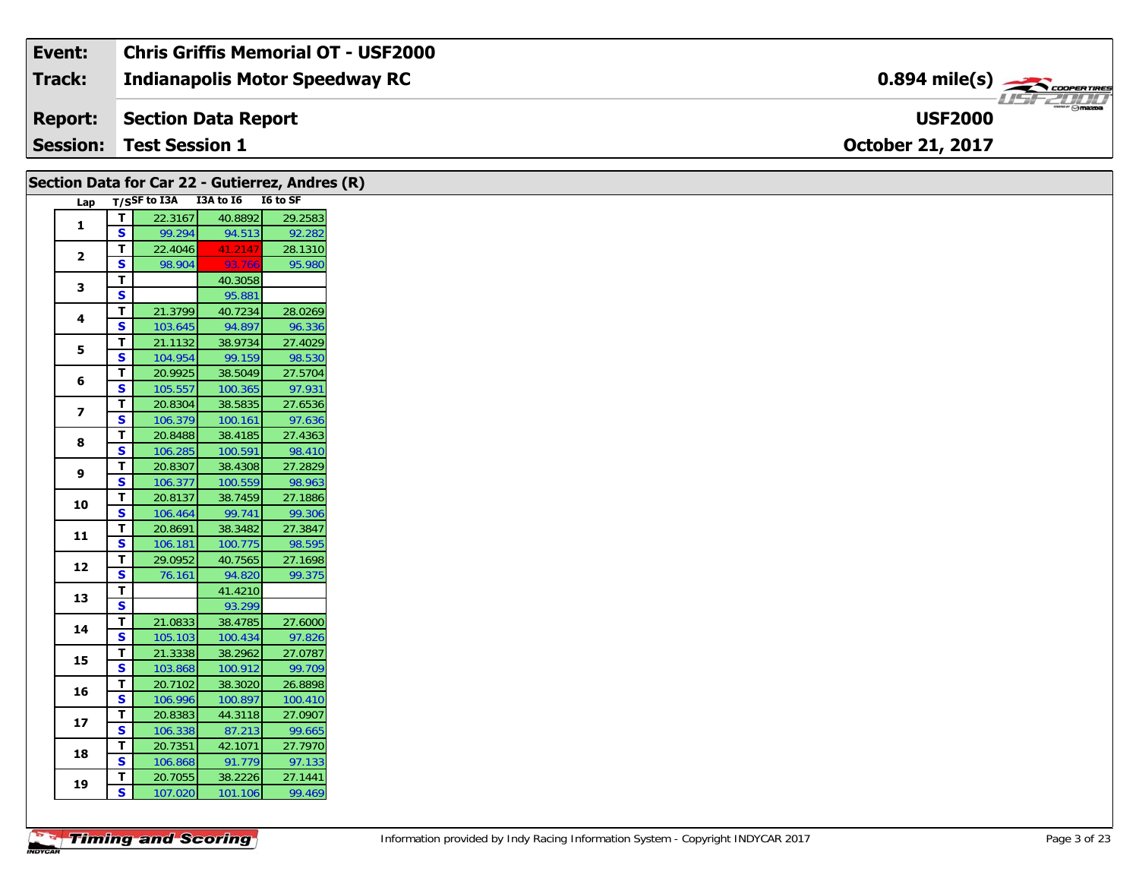| Event:         | <b>Chris Griffis Memorial OT - USF2000</b> |                                                         |
|----------------|--------------------------------------------|---------------------------------------------------------|
| Track:         | <b>Indianapolis Motor Speedway RC</b>      | $0.894$ mile(s) $\overbrace{\hspace{2cm}}$ coorer Times |
| <b>Report:</b> | Section Data Report                        | $\frac{1}{\sqrt{2}}$<br><b>USF2000</b>                  |
|                | <b>Session: Test Session 1</b>             | <b>October 21, 2017</b>                                 |

| Section Data for Car 22 - Gutierrez, Andres (R) |                              |                                 |                    |                   |
|-------------------------------------------------|------------------------------|---------------------------------|--------------------|-------------------|
| Lap                                             |                              | T/SSF to I3A I3A to I6 I6 to SF |                    |                   |
| $\mathbf{1}$                                    | $\mathbf T$                  | 22.3167                         | 40.8892            | 29.2583           |
|                                                 | $\overline{\mathbf{s}}$      | 99.294                          | 94.513             | 92.282            |
| $\mathbf{2}$                                    | T                            | 22.4046                         | 41.2147            | 28.1310           |
|                                                 | S                            | 98.904                          | 93.766             | 95.980            |
| $\mathbf{3}$                                    | T.                           |                                 | 40.3058            |                   |
|                                                 | $\mathbf{s}$<br>$\mathbf T$  | 21.3799                         | 95.881             | 28.0269           |
| 4                                               | S                            | 103.645                         | 40.7234<br>94.897  | 96.336            |
|                                                 | T                            | 21.1132                         | 38.9734            | 27.4029           |
| 5                                               | $\overline{\mathbf{s}}$      | 104.954                         | 99.159             | 98.530            |
|                                                 | $\mathbf T$                  | 20.9925                         | 38.5049            | 27.5704           |
| 6                                               | S                            | 105.557                         | 100.365            | 97.931            |
|                                                 | $\mathbf T$                  | 20.8304                         | 38.5835            | 27.6536           |
| $\overline{\mathbf{z}}$                         | S                            | 106.379                         | 100.161            | 97.636            |
|                                                 | T                            | 20.8488                         | 38.4185            | 27.4363           |
| 8                                               | $\mathbf{s}$                 | 106.285                         | 100.591            | 98.410            |
| 9                                               | T                            | 20.8307                         | 38.4308            | 27.2829           |
|                                                 | S                            | 106.377                         | 100.559            | 98.963            |
| 10                                              | T.                           | 20.8137                         | 38.7459            | 27.1886           |
|                                                 | S                            | 106.464                         | 99.741             | 99.306            |
| 11                                              | T                            | 20.8691                         | 38.3482            | 27.3847           |
|                                                 | $\mathbf{s}$                 | 106.181                         | 100.775            | 98.595            |
| 12                                              | $\mathbf T$<br>S             | 29.0952                         | 40.7565            | 27.1698           |
|                                                 | $\mathbf T$                  | 76.161                          | 94.820<br>41.4210  | 99.375            |
| 13                                              | $\overline{\mathbf{s}}$      |                                 | 93.299             |                   |
|                                                 | T.                           | 21.0833                         | 38.4785            | 27.6000           |
| 14                                              | $\overline{\mathbf{s}}$      | 105.103                         | 100.434            | 97.826            |
|                                                 | $\mathbf T$                  | 21.3338                         | 38.2962            | 27.0787           |
| 15                                              | $\overline{\mathbf{s}}$      | 103.868                         | 100.912            | 99.709            |
|                                                 | T.                           | 20.7102                         | 38.3020            | 26.8898           |
| 16                                              | $\mathbf{s}$                 | 106.996                         | 100.897            | 100.410           |
|                                                 | T                            | 20.8383                         | 44.3118            | 27.0907           |
| 17                                              | $\mathbf{s}$                 | 106.338                         | 87.213             | 99.665            |
| 18                                              | Т                            | 20.7351                         | 42.1071            | 27.7970           |
|                                                 | S                            | 106.868                         | 91.779             | 97.133            |
|                                                 |                              |                                 |                    |                   |
| 19                                              | T<br>$\overline{\mathbf{s}}$ | 20.7055<br>107.020              | 38.2226<br>101.106 | 27.1441<br>99.469 |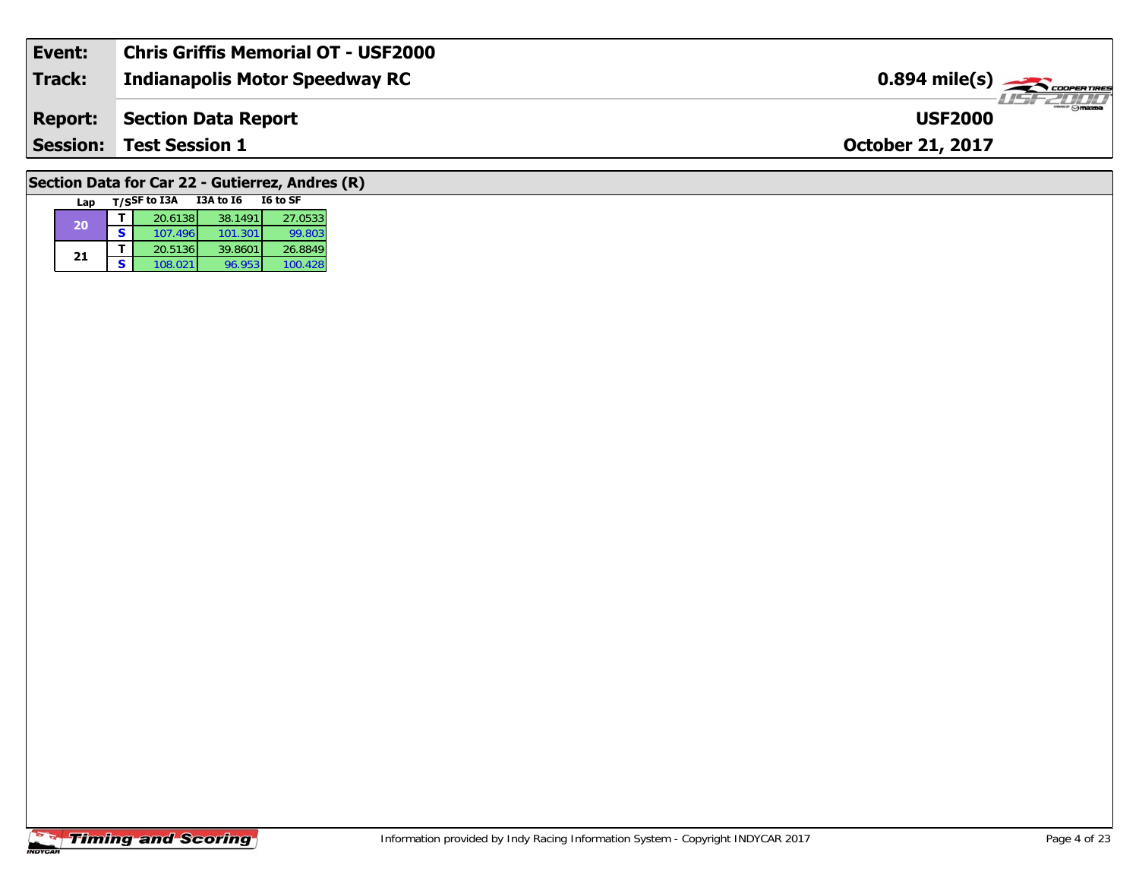| Event:         | <b>Chris Griffis Memorial OT - USF2000</b> |                                                         |
|----------------|--------------------------------------------|---------------------------------------------------------|
| Track:         | <b>Indianapolis Motor Speedway RC</b>      | $0.894$ mile(s) $\overbrace{\hspace{2cm}}$ cooper Tires |
| <b>Report:</b> | Section Data Report                        | $\overline{\Theta}$ mazba<br><b>USF2000</b>             |
|                | <b>Session: Test Session 1</b>             | <b>October 21, 2017</b>                                 |
|                |                                            |                                                         |

# **Section Data for Car 22 - Gutierrez, Andres (R)**

| Lap |   | T/SSF to I3A | <b>I3A to 16</b> | I6 to SF |
|-----|---|--------------|------------------|----------|
| 20  |   | 20.6138      | 38.1491          | 27.0533  |
|     | s | 107.496      | 101.301          | 99.803   |
| 21  |   | 20.5136      | 39.8601          | 26.8849  |
|     | ς | 108.021      | 96.953           | 100.428  |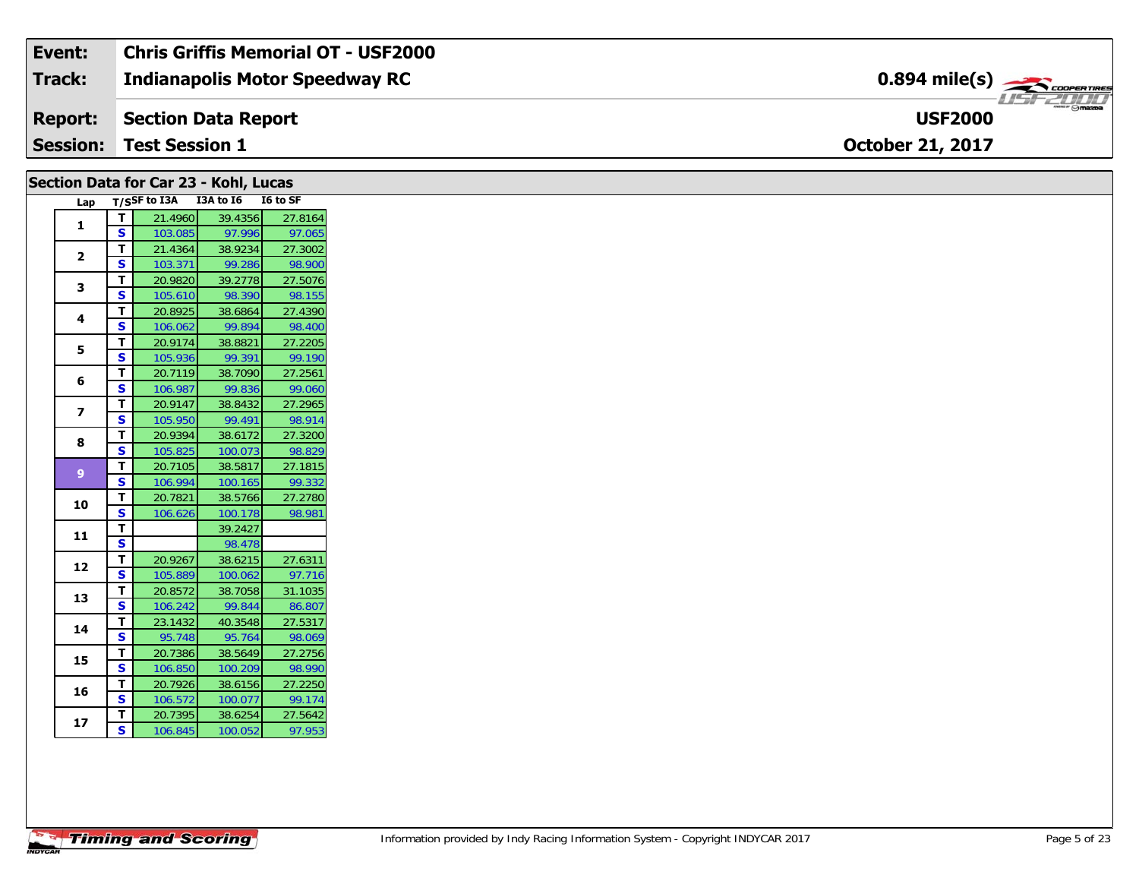| Event:          | Chris Griffis Memorial OT - USF2000 |                                                       |
|-----------------|-------------------------------------|-------------------------------------------------------|
| <b>Track:</b>   | Indianapolis Motor Speedway RC      | $0.894$ mile(s) $\overbrace{\hspace{2cm}}$ coorganges |
| <b>Report:</b>  | Section Data Report                 | <b>HSFZUIT</b><br><b>USF2000</b>                      |
| <b>Session:</b> | <b>Test Session 1</b>               | <b>October 21, 2017</b>                               |

|                |                         |              | Section Data for Car 23 - Kohl, Lucas |          |
|----------------|-------------------------|--------------|---------------------------------------|----------|
| Lap            |                         | T/SSF to I3A | I3A to I6                             | I6 to SF |
| 1              | т                       | 21.4960      | 39.4356                               | 27.8164  |
|                | S                       | 103.085      | 97.996                                | 97.065   |
| $\overline{2}$ | т                       | 21.4364      | 38.9234                               | 27.3002  |
|                | S                       | 103.371      | 99.286                                | 98.900   |
| 3              | T                       | 20.9820      | 39.2778                               | 27.5076  |
|                | S                       | 105.610      | 98.390                                | 98.155   |
| 4              | т                       | 20.8925      | 38.6864                               | 27.4390  |
|                | S                       | 106.062      | 99.894                                | 98.400   |
| 5              | T.                      | 20.9174      | 38.8821                               | 27.2205  |
|                | S                       | 105.936      | 99.391                                | 99.190   |
| 6              | T                       | 20.7119      | 38.7090                               | 27.2561  |
|                | S                       | 106.987      | 99.836                                | 99.060   |
| 7              | т                       | 20.9147      | 38.8432                               | 27.2965  |
|                | S                       | 105.950      | 99.491                                | 98.914   |
| 8              | T                       | 20.9394      | 38.6172                               | 27.3200  |
|                | S                       | 105.825      | 100.073                               | 98.829   |
| $\overline{9}$ | т                       | 20.7105      | 38.5817                               | 27.1815  |
|                | S                       | 106.994      | 100.165                               | 99.332   |
| 10             | т                       | 20.7821      | 38.5766                               | 27.2780  |
|                | S                       | 106.626      | 100.178                               | 98.981   |
| 11             | т                       |              | 39.2427                               |          |
|                | S                       |              | 98.478                                |          |
| 12             | T.                      | 20.9267      | 38.6215                               | 27.6311  |
|                | S                       | 105.889      | 100.062                               | 97.716   |
| 13             | т                       | 20.8572      | 38.7058                               | 31.1035  |
|                | S                       | 106.242      | 99.844                                | 86.807   |
| 14             | т                       | 23.1432      | 40.3548                               | 27.5317  |
|                | S                       | 95.748       | 95.764                                | 98.069   |
| 15             | T                       | 20.7386      | 38.5649                               | 27.2756  |
|                | S                       | 106.850      | 100.209                               | 98.990   |
| 16             | Т                       | 20.7926      | 38.6156                               | 27.2250  |
|                | S                       | 106.572      | 100.077                               | 99.174   |
| 17             | Т                       | 20.7395      | 38.6254                               | 27.5642  |
|                | $\overline{\mathbf{s}}$ | 106.845      | 100.052                               | 97.953   |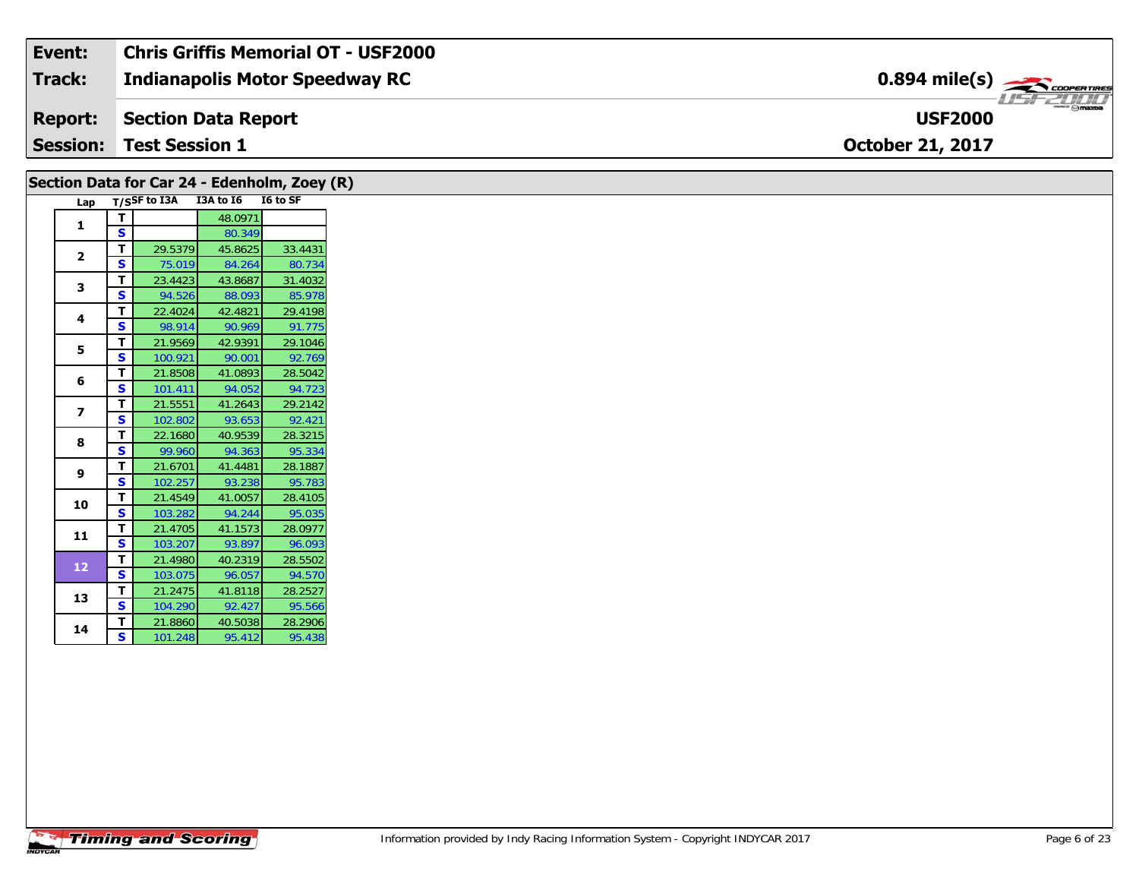| Event:          | <b>Chris Griffis Memorial OT - USF2000</b> |                                                         |
|-----------------|--------------------------------------------|---------------------------------------------------------|
| Track:          | Indianapolis Motor Speedway RC             | $0.894$ mile(s) $\overbrace{\hspace{2cm}}$ coorer Times |
| Report:         | Section Data Report                        | $\frac{1}{\sqrt{2}}$<br><b>USF2000</b>                  |
| <b>Session:</b> | <b>Test Session 1</b>                      | <b>October 21, 2017</b>                                 |

| Section Data for Car 24 - Edenholm, Zoey (R)<br>Lap |              | T/SSF to I3A | I3A to I6         | I6 to SF |
|-----------------------------------------------------|--------------|--------------|-------------------|----------|
|                                                     | т            |              | 48.0971           |          |
| 1                                                   | S            |              | 80.349            |          |
|                                                     | т            | 29.5379      |                   | 33.4431  |
| $\mathbf{2}$                                        | $\mathbf{s}$ | 75.019       | 45.8625<br>84.264 | 80.734   |
|                                                     |              |              |                   |          |
| 3                                                   | т            | 23.4423      | 43.8687           | 31.4032  |
|                                                     | $\mathbf{s}$ | 94.526       | 88.093            | 85.978   |
| 4                                                   | T            | 22.4024      | 42.4821           | 29.4198  |
|                                                     | $\mathbf{s}$ | 98.914       | 90.969            | 91.775   |
| 5                                                   | т            | 21.9569      | 42.9391           | 29.1046  |
|                                                     | S            | 100.921      | 90.001            | 92.769   |
| 6                                                   | т            | 21.8508      | 41.0893           | 28.5042  |
|                                                     | S            | 101.411      | 94.052            | 94.723   |
| $\overline{\phantom{a}}$                            | т            | 21.5551      | 41.2643           | 29.2142  |
|                                                     | S            | 102.802      | 93.653            | 92.421   |
| 8                                                   | Т            | 22.1680      | 40.9539           | 28.3215  |
|                                                     | $\mathbf{s}$ | 99.960       | 94.363            | 95.334   |
| 9                                                   | T            | 21.6701      | 41.4481           | 28.1887  |
|                                                     | S            | 102.257      | 93.238            | 95.783   |
| 10                                                  | т            | 21.4549      | 41.0057           | 28.4105  |
|                                                     | S            | 103.282      | 94.244            | 95.035   |
|                                                     | т            | 21.4705      | 41.1573           | 28.0977  |
| 11                                                  | S            | 103.207      | 93.897            | 96.093   |
|                                                     | т            | 21.4980      | 40.2319           | 28.5502  |
| 12                                                  | S            | 103.075      | 96.057            | 94.570   |
|                                                     | т            | 21.2475      | 41.8118           | 28.2527  |
| 13                                                  | S            | 104.290      | 92.427            | 95.566   |
|                                                     | Т            | 21.8860      | 40.5038           | 28.2906  |
| 14                                                  | S            | 101.248      | 95.412            | 95.438   |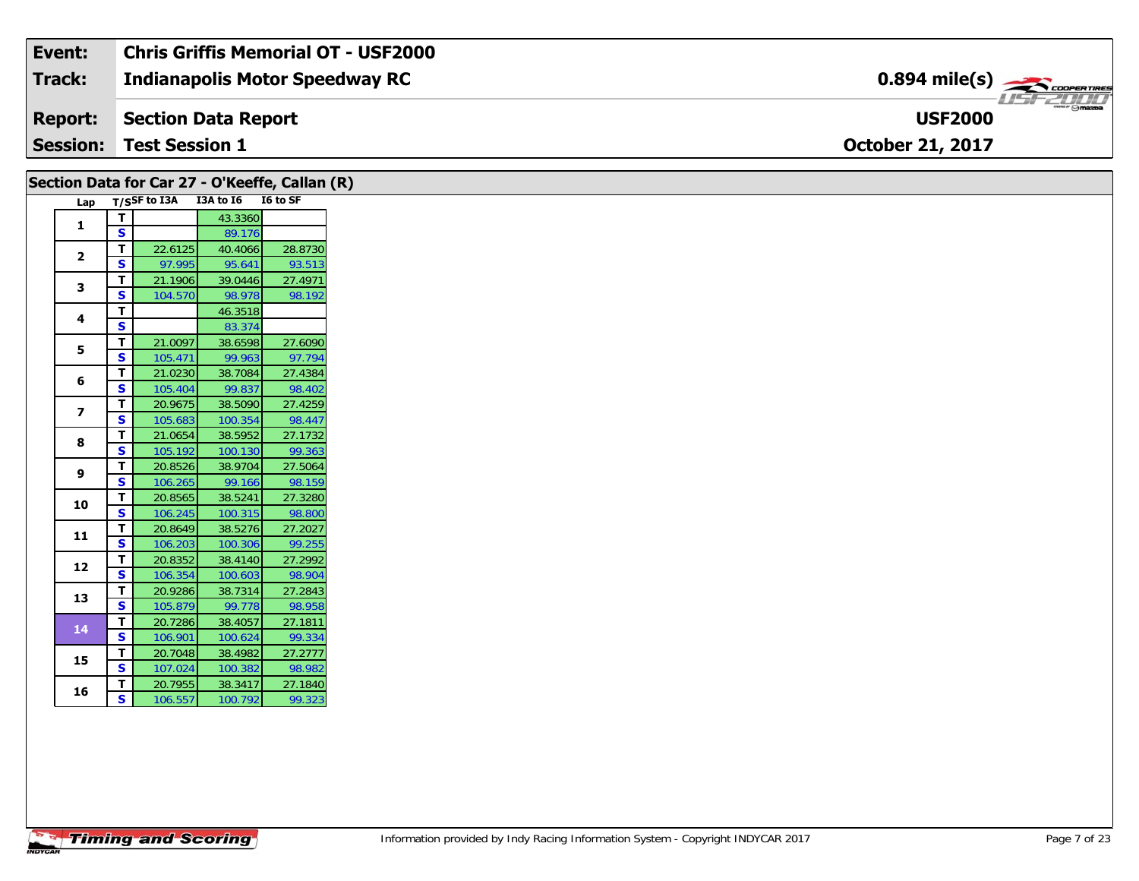| Event:          | Chris Griffis Memorial OT - USF2000 |                                                          |
|-----------------|-------------------------------------|----------------------------------------------------------|
| Track:          | Indianapolis Motor Speedway RC      | $0.894$ mile(s) $\rightarrow$ COOPER TIRES               |
| <b>Report:</b>  | Section Data Report                 | $\overline{\phantom{m}}$ $\odot$ mazoa<br><b>USF2000</b> |
| <b>Session:</b> | <b>Test Session 1</b>               | <b>October 21, 2017</b>                                  |

| Section Data for Car 27 - O'Keeffe, Callan (R) |              |              | I3A to I6 | <b>I6 to SF</b> |
|------------------------------------------------|--------------|--------------|-----------|-----------------|
| Lap                                            |              | T/SSF to I3A |           |                 |
| 1                                              | T            |              | 43.3360   |                 |
|                                                | $\mathbf{s}$ |              | 89.176    |                 |
| $\mathbf{2}$                                   | т            | 22.6125      | 40.4066   | 28.8730         |
|                                                | S            | 97.995       | 95.641    | 93.513          |
| 3                                              | т            | 21.1906      | 39.0446   | 27.4971         |
|                                                | S            | 104.570      | 98.978    | 98.192          |
| 4                                              | T            |              | 46.3518   |                 |
|                                                | $\mathbf{s}$ |              | 83.374    |                 |
| 5                                              | T            | 21.0097      | 38.6598   | 27.6090         |
|                                                | $\mathbf{s}$ | 105.471      | 99.963    | 97.794          |
| 6                                              | Т            | 21.0230      | 38.7084   | 27.4384         |
|                                                | $\mathbf{s}$ | 105.404      | 99.837    | 98.402          |
|                                                | T            | 20.9675      | 38.5090   | 27.4259         |
| $\overline{\phantom{a}}$                       | S            | 105.683      | 100.354   | 98.447          |
|                                                | T            | 21.0654      | 38.5952   | 27.1732         |
| 8                                              | S            | 105.192      | 100.130   | 99.363          |
|                                                | T            | 20.8526      | 38.9704   | 27.5064         |
| 9                                              | S            | 106.265      | 99.166    | 98.159          |
|                                                | T            | 20.8565      | 38.5241   | 27.3280         |
| 10                                             | $\mathbf{s}$ | 106.245      | 100.315   | 98.800          |
|                                                | т            | 20.8649      | 38.5276   | 27.2027         |
| 11                                             | $\mathbf{s}$ | 106.203      | 100.306   | 99.255          |
|                                                | T            | 20.8352      | 38.4140   | 27.2992         |
| 12                                             | S            | 106.354      | 100.603   | 98.904          |
|                                                | T            | 20.9286      | 38.7314   | 27.2843         |
| 13                                             | S            | 105.879      | 99.778    | 98.958          |
|                                                | T.           | 20.7286      | 38.4057   | 27.1811         |
| 14                                             | $\mathbf{s}$ | 106.901      | 100.624   | 99.334          |
|                                                | T            | 20.7048      | 38.4982   | 27.2777         |
| 15                                             | S            | 107.024      | 100.382   | 98.982          |
|                                                | T            | 20.7955      | 38.3417   | 27.1840         |
| 16                                             | S            | 106.557      | 100.792   | 99.323          |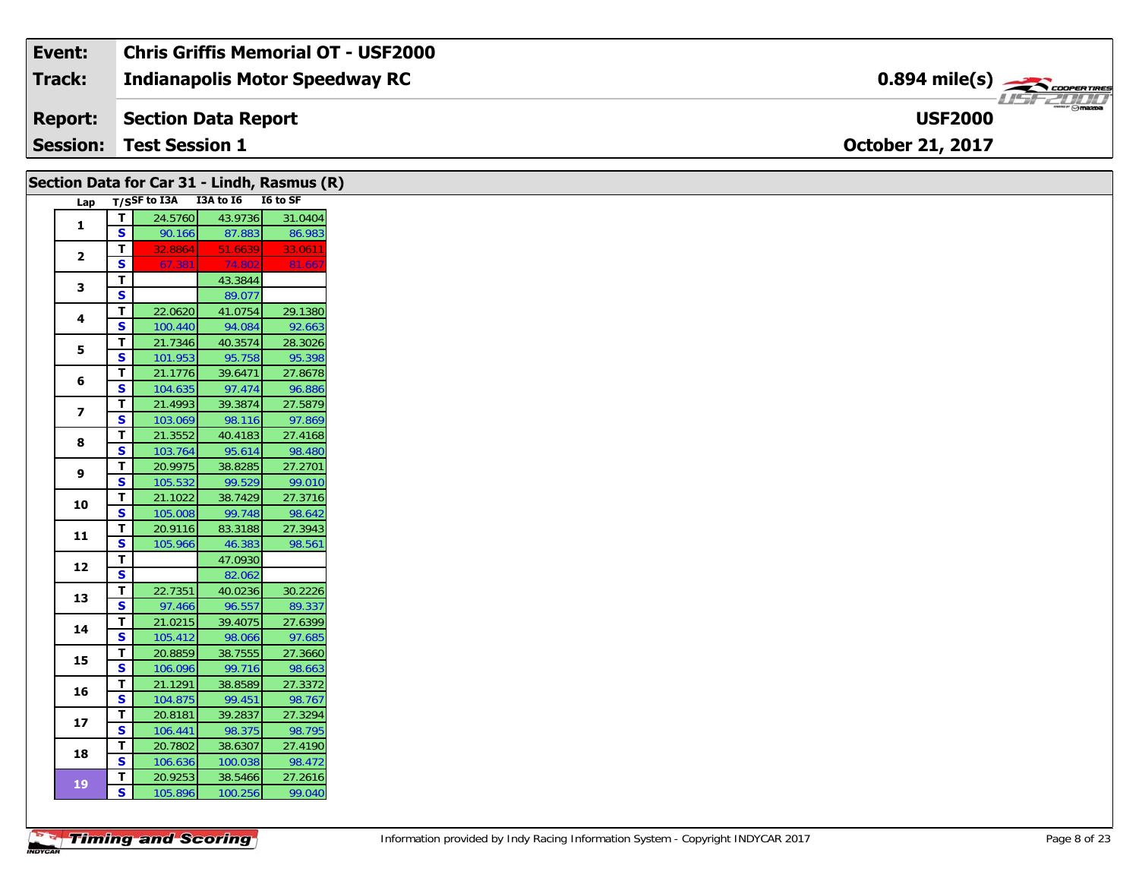| Event:          | Chris Griffis Memorial OT - USF2000 |                                                          |
|-----------------|-------------------------------------|----------------------------------------------------------|
| Track:          | Indianapolis Motor Speedway RC      | $0.894$ mile(s) $\rightarrow$                            |
| <b>Report:</b>  | Section Data Report                 | $\overline{\phantom{m}}$ $\odot$ mazpa<br><b>USF2000</b> |
| <b>Session:</b> | <b>Test Session 1</b>               | <b>October 21, 2017</b>                                  |

|                         |                         | Section Data for Car 31 - Lindh, Rasmus (R) |                   |                   |
|-------------------------|-------------------------|---------------------------------------------|-------------------|-------------------|
| Lap                     |                         | T/SSF to I3A I3A to I6 I6 to SF             |                   |                   |
|                         | T.                      | 24.5760                                     | 43.9736           | 31.0404           |
| $\mathbf{1}$            | $\mathbf{s}$            | 90.166                                      | 87.883            | 86.983            |
| $\mathbf{2}$            | T                       | 32.8864                                     | 51.6639           | 33.0611           |
|                         | $\mathbf s$             | 67.381                                      | 74.802            | 81.667            |
| 3                       | T.                      |                                             | 43.3844           |                   |
|                         | $\mathbf{s}$            |                                             | 89.077            |                   |
| 4                       | $\overline{\mathsf{T}}$ | 22.0620                                     | 41.0754           | 29.1380           |
|                         | S                       | 100.440                                     | 94.084            | 92.663            |
| 5                       | $\overline{\mathsf{T}}$ | 21.7346                                     | 40.3574           | 28.3026           |
|                         | $\mathbf s$             | 101.953                                     | 95.758            | 95.398            |
| 6                       | T                       | 21.1776                                     | 39.6471           | 27.8678           |
|                         | S                       | 104.635                                     | 97.474            | 96.886            |
| $\overline{\mathbf{z}}$ | T                       | 21.4993                                     | 39.3874           | 27.5879           |
|                         | S                       | 103.069                                     | 98.116            | 97.869            |
| 8                       | $\mathbf T$             | 21.3552                                     | 40.4183           | 27.4168           |
|                         | $\mathbf s$             | 103.764                                     | 95.614            | 98.480            |
| 9                       | T                       | 20.9975                                     | 38.8285           | 27.2701           |
|                         | S                       | 105.532                                     | 99.529            | 99.010            |
| 10                      | T                       | 21.1022                                     | 38.7429           | 27.3716           |
|                         | $\mathbf s$             | 105.008                                     | 99.748            | 98.642            |
| 11                      | $\mathbf T$             | 20.9116                                     | 83.3188           | 27.3943           |
|                         | S                       | 105.966                                     | 46.383            | 98.561            |
| 12                      | T                       |                                             | 47.0930           |                   |
|                         | $\overline{\mathbf{s}}$ |                                             | 82.062            |                   |
| 13                      | $\mathbf T$             | 22.7351                                     | 40.0236           | 30.2226           |
|                         | S                       | 97.466                                      | 96.557            | 89.337            |
| 14                      | T<br>S                  | 21.0215<br>105.412                          | 39.4075<br>98.066 | 27.6399<br>97.685 |
|                         | Т                       | 20.8859                                     | 38.7555           | 27.3660           |
| 15                      | $\overline{\mathbf{s}}$ | 106.096                                     | 99.716            | 98.663            |
|                         | T                       | 21.1291                                     | 38.8589           | 27.3372           |
| 16                      | S                       | 104.875                                     | 99.451            | 98.767            |
|                         | T                       | 20.8181                                     | 39.2837           | 27.3294           |
| 17                      | S.                      | 106.441                                     | 98.375            | 98.795            |
|                         | $\mathbf{T}$            | 20.7802                                     | 38.6307           | 27.4190           |
| 18                      | S                       | 106.636                                     | 100.038           | 98.472            |
|                         | $\mathbf{T}$            | 20.9253                                     | 38.5466           | 27.2616           |
| <b>19</b>               | S                       | 105.896                                     | 100.256           | 99.040            |
|                         |                         |                                             |                   |                   |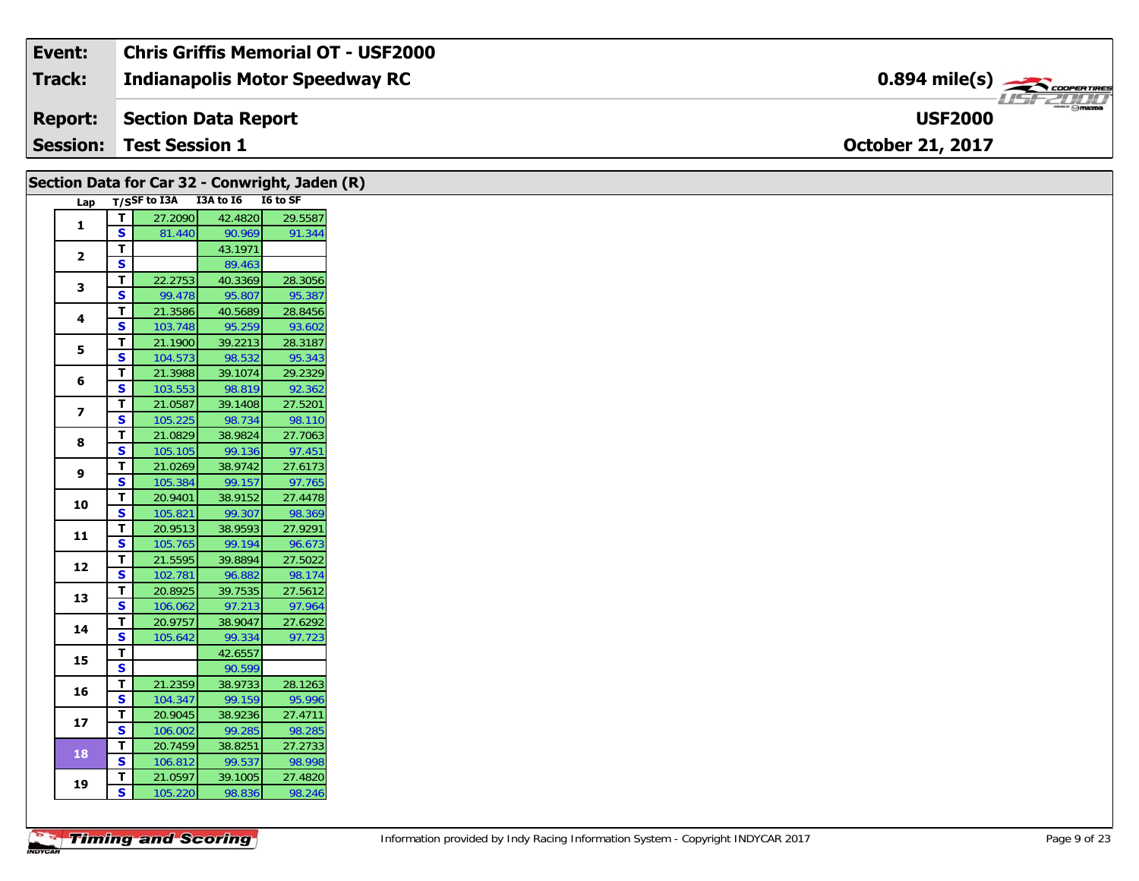| Event:          | Chris Griffis Memorial OT - USF2000 |                                           |
|-----------------|-------------------------------------|-------------------------------------------|
| <b>Track:</b>   | Indianapolis Motor Speedway RC      | $0.894$ mile(s) $\rightarrow$ COOPERTIRES |
| <b>Report:</b>  | Section Data Report                 | $\frac{2\pi}{\omega}$<br><b>USF2000</b>   |
| <b>Session:</b> | <b>Test Session 1</b>               | <b>October 21, 2017</b>                   |

|                         |                         | Section Data for Car 32 - Conwright, Jaden (R) |                                 |                   |
|-------------------------|-------------------------|------------------------------------------------|---------------------------------|-------------------|
| Lap                     |                         |                                                | T/SSF to I3A I3A to I6 I6 to SF |                   |
|                         | $\mathbf T$             | 27.2090                                        | 42.4820                         | 29.5587           |
| $\mathbf{1}$            | <b>S</b>                | 81.440                                         | 90.969                          | 91.344            |
| $\mathbf{2}$            | T                       |                                                | 43.1971                         |                   |
|                         | $\overline{\mathbf{s}}$ |                                                | 89.463                          |                   |
| 3                       | $\mathbf T$             | 22.2753                                        | 40.3369                         | 28.3056           |
|                         | S                       | 99.478                                         | 95.807                          | 95.387            |
| 4                       | T                       | 21.3586                                        | 40.5689                         | 28.8456           |
|                         | S                       | 103.748                                        | 95.259                          | 93.602            |
| 5                       | T                       | 21.1900                                        | 39.2213                         | 28.3187           |
|                         | $\overline{\mathbf{s}}$ | 104.573                                        | 98.532                          | 95.343            |
| 6                       | T<br>S                  | 21.3988                                        | 39.1074                         | 29.2329           |
|                         | T                       | 103.553<br>21.0587                             | 98.819<br>39.1408               | 92.362<br>27.5201 |
| $\overline{\mathbf{z}}$ | S                       | 105.225                                        | 98.734                          | 98.110            |
|                         | $\mathbf T$             | 21.0829                                        | 38.9824                         | 27.7063           |
| 8                       | $\overline{\mathbf{s}}$ | 105.105                                        | 99.136                          | 97.451            |
|                         | T                       | 21.0269                                        | 38.9742                         | 27.6173           |
| 9                       | ${\sf s}$               | 105.384                                        | 99.157                          | 97.765            |
|                         | T                       | 20.9401                                        | 38.9152                         | 27.4478           |
| 10                      | $\overline{\mathbf{s}}$ | 105.821                                        | 99.307                          | 98.369            |
|                         | $\mathbf T$             | 20.9513                                        | 38.9593                         | 27.9291           |
| 11                      | S                       | 105.765                                        | 99.194                          | 96.673            |
|                         | T                       | 21.5595                                        | 39.8894                         | 27.5022           |
| 12                      | S                       | 102.781                                        | 96.882                          | 98.174            |
| 13                      | T.                      | 20.8925                                        | 39.7535                         | 27.5612           |
|                         | S.                      | 106.062                                        | 97.213                          | 97.964            |
| 14                      | Т                       | 20.9757                                        | 38.9047                         | 27.6292           |
|                         | S                       | 105.642                                        | 99.334                          | 97.723            |
| 15                      | T.                      |                                                | 42.6557                         |                   |
|                         | $\overline{\mathbf{s}}$ |                                                | 90.599                          |                   |
| 16                      | T.                      | 21.2359                                        | 38.9733                         | 28.1263           |
|                         | S.                      | 104.347                                        | 99.159                          | 95.996            |
| 17                      | $\mathbf T$             | 20.9045                                        | 38.9236                         | 27.4711           |
|                         | S                       | 106.002                                        | 99.285                          | 98.285            |
| 18                      | T                       | 20.7459                                        | 38.8251                         | 27.2733           |
|                         | <b>S</b>                | 106.812                                        | 99.537                          | 98.998            |
| 19                      | T.<br>S                 | 21.0597                                        | 39.1005                         | 27.4820           |
|                         |                         | 105.220                                        | 98.836                          | 98.246            |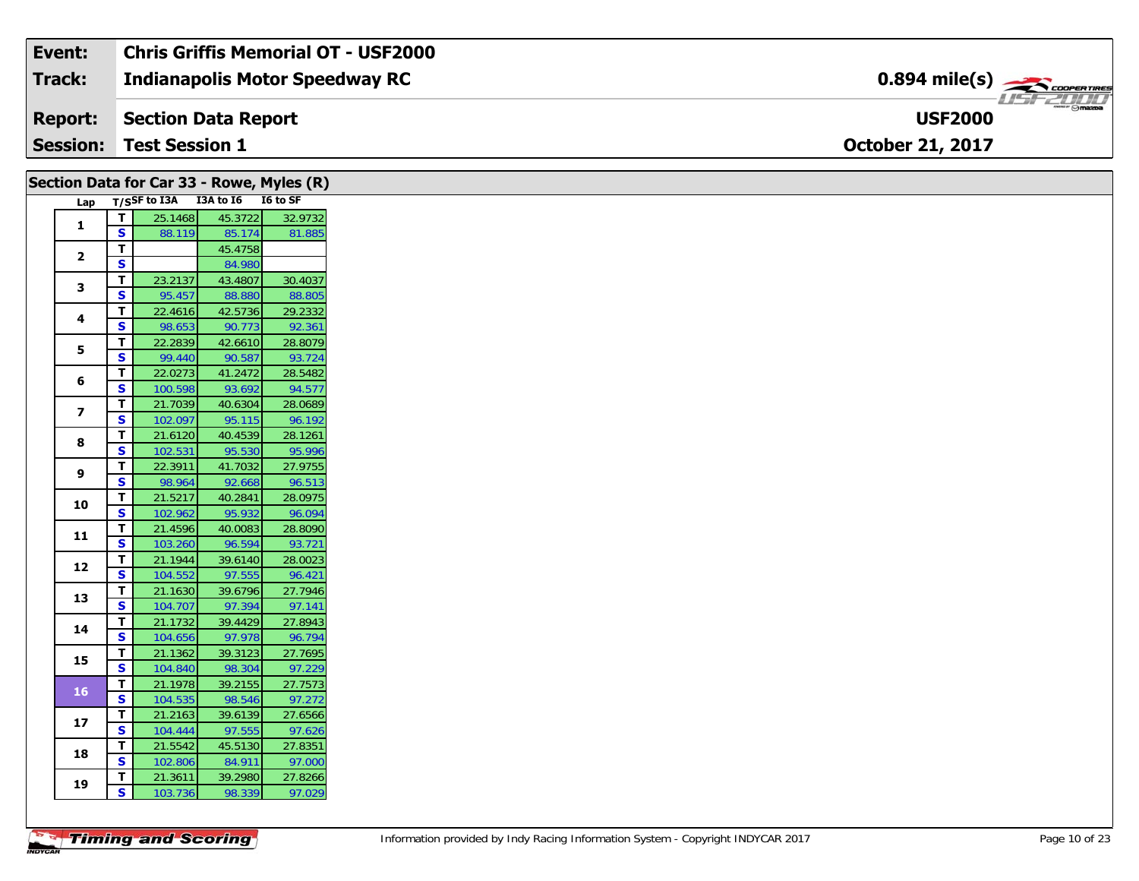| Event:         | <b>Chris Griffis Memorial OT - USF2000</b> |                                                                                                                                                                                                                                                                                                                                                                                                                                                                                                   |
|----------------|--------------------------------------------|---------------------------------------------------------------------------------------------------------------------------------------------------------------------------------------------------------------------------------------------------------------------------------------------------------------------------------------------------------------------------------------------------------------------------------------------------------------------------------------------------|
| Track:         | <b>Indianapolis Motor Speedway RC</b>      | $0.894$ mile(s) $\overbrace{\hspace{2cm}}$ coorgannes                                                                                                                                                                                                                                                                                                                                                                                                                                             |
| <b>Report:</b> | Section Data Report                        | $\overline{\phantom{a}}$ $\overline{\phantom{a}}$ $\overline{\phantom{a}}$ $\overline{\phantom{a}}$ $\overline{\phantom{a}}$ $\overline{\phantom{a}}$ $\overline{\phantom{a}}$ $\overline{\phantom{a}}$ $\overline{\phantom{a}}$ $\overline{\phantom{a}}$ $\overline{\phantom{a}}$ $\overline{\phantom{a}}$ $\overline{\phantom{a}}$ $\overline{\phantom{a}}$ $\overline{\phantom{a}}$ $\overline{\phantom{a}}$ $\overline{\phantom{a}}$ $\overline{\phantom{a}}$ $\overline{\$<br><b>USF2000</b> |
|                | <b>Session: Test Session 1</b>             | <b>October 21, 2017</b>                                                                                                                                                                                                                                                                                                                                                                                                                                                                           |

| Section Data for Car 33 - Rowe, Myles (R) |                         |                                     |         |         |
|-------------------------------------------|-------------------------|-------------------------------------|---------|---------|
|                                           |                         | Lap T/SSF to I3A I3A to I6 I6 to SF |         |         |
|                                           | $\overline{\mathbf{r}}$ | 25.1468                             | 45.3722 | 32.9732 |
| $\mathbf{1}$                              | S                       | 88.119                              | 85.174  | 81.885  |
|                                           | T.                      |                                     | 45.4758 |         |
| $\overline{2}$                            | $\overline{\mathbf{s}}$ |                                     | 84.980  |         |
|                                           | T                       | 23.2137                             | 43.4807 | 30.4037 |
| 3                                         | S.                      | 95.457                              | 88.880  | 88.805  |
|                                           | T                       | 22.4616                             | 42.5736 | 29.2332 |
| 4                                         | S                       | 98.653                              | 90.773  | 92.361  |
|                                           | T.                      | 22.2839                             | 42.6610 | 28.8079 |
| 5                                         | <b>S</b>                | 99.440                              | 90.587  | 93.724  |
|                                           | T.                      | 22.0273                             | 41.2472 | 28.5482 |
| 6                                         | $\overline{\mathbf{s}}$ | 100.598                             | 93.692  | 94.577  |
|                                           | $\mathbf T$             | 21.7039                             | 40.6304 | 28.0689 |
| $\overline{z}$                            | $\overline{\mathbf{s}}$ | 102.097                             | 95.115  | 96.192  |
|                                           | $\mathbf{T}$            | 21.6120                             | 40.4539 | 28.1261 |
| 8                                         | S                       | 102.531                             | 95.530  | 95.996  |
|                                           | T                       | 22.3911                             | 41.7032 | 27.9755 |
| 9                                         | $\mathbf{s}$            | 98.964                              | 92.668  | 96.513  |
|                                           | $\mathbf T$             | 21.5217                             | 40.2841 | 28.0975 |
| 10                                        | $\overline{\mathbf{s}}$ | 102.962                             | 95.932  | 96.094  |
|                                           | $\mathbf{T}$            | 21.4596                             | 40.0083 | 28.8090 |
| 11                                        | $\overline{\mathbf{s}}$ | 103.260                             | 96.594  | 93.721  |
|                                           | T                       | 21.1944                             | 39.6140 | 28.0023 |
| 12                                        | $\mathbf{s}$            | 104.552                             | 97.555  | 96.421  |
|                                           | T                       | 21.1630                             | 39.6796 | 27.7946 |
| 13                                        | $\overline{\mathbf{s}}$ | 104.707                             | 97.394  | 97.141  |
|                                           | $\mathbf{T}$            | 21.1732                             | 39.4429 | 27.8943 |
| 14                                        | S                       | 104.656                             | 97.978  | 96.794  |
|                                           | $\mathbf{T}$            | 21.1362                             | 39.3123 | 27.7695 |
| 15                                        | $\overline{\mathbf{s}}$ | 104.840                             | 98.304  | 97.229  |
|                                           | T                       | 21.1978                             | 39.2155 | 27.7573 |
| 16                                        | <b>S</b>                | 104.535                             | 98.546  | 97.272  |
|                                           | T                       | 21.2163                             | 39.6139 | 27.6566 |
| 17                                        | S                       | 104.444                             | 97.555  | 97.626  |
|                                           | $\mathbf{T}$            | 21.5542                             | 45.5130 | 27.8351 |
| 18                                        | $\mathbf{s}$            | 102.806                             | 84.911  | 97.000  |
|                                           | T.                      | 21.3611                             | 39.2980 | 27.8266 |
| 19                                        | $\mathbf{s}$            | 103.736                             | 98.339  | 97.029  |
|                                           |                         |                                     |         |         |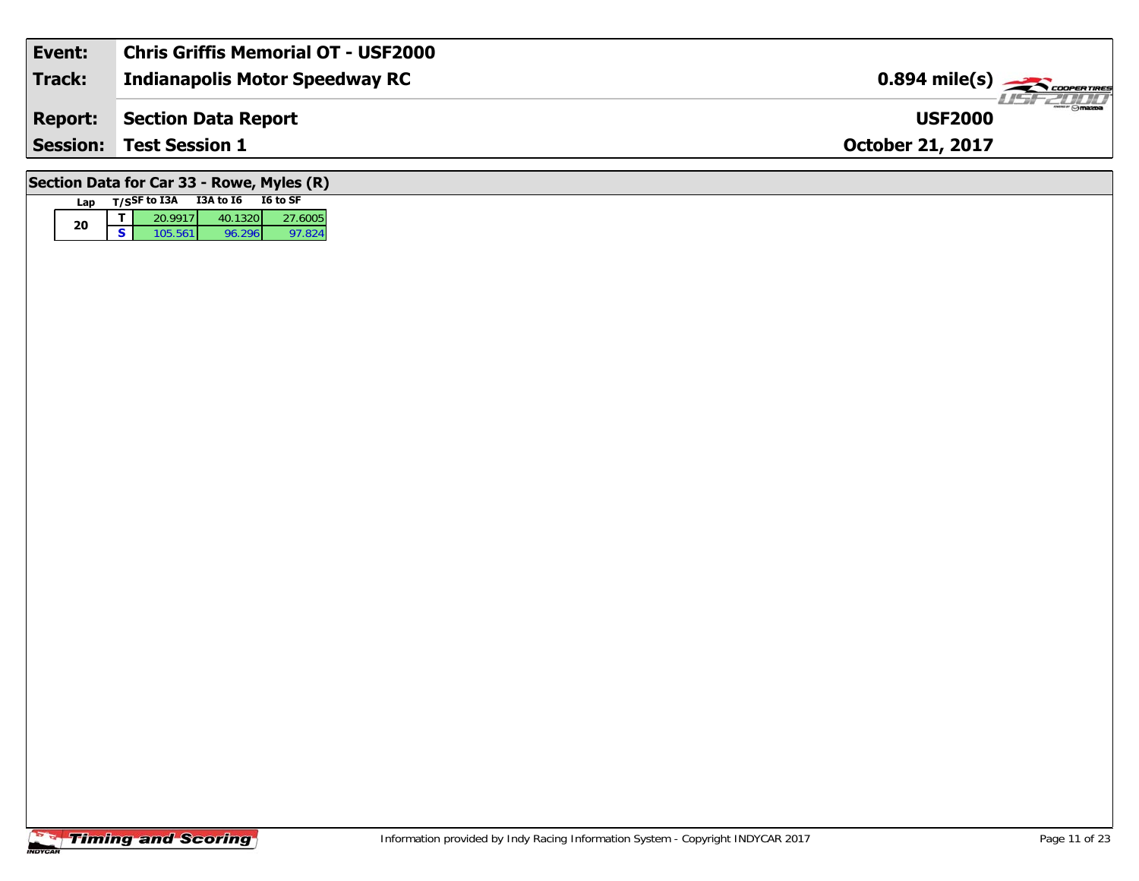| Event:                                    | <b>Chris Griffis Memorial OT - USF2000</b> |                                                         |  |  |  |  |
|-------------------------------------------|--------------------------------------------|---------------------------------------------------------|--|--|--|--|
| <b>Track:</b>                             | Indianapolis Motor Speedway RC             | $0.894$ mile(s) $\overbrace{\hspace{2cm}}$ coorga Tines |  |  |  |  |
| <b>Report:</b>                            | Section Data Report                        | <b>LISFZDO</b><br><b>USF2000</b>                        |  |  |  |  |
|                                           | <b>Session: Test Session 1</b>             | <b>October 21, 2017</b>                                 |  |  |  |  |
| Section Data for Car 33 - Rowe, Myles (R) |                                            |                                                         |  |  |  |  |

### **Timing and Scoring**

**Lap T/SSF to I3A I3A to I6 I6 to SF** 

**<sup>T</sup>** 20.9917 40.1320 27.6005 **<sup>S</sup>** 105.561 96.296 97.824

97.824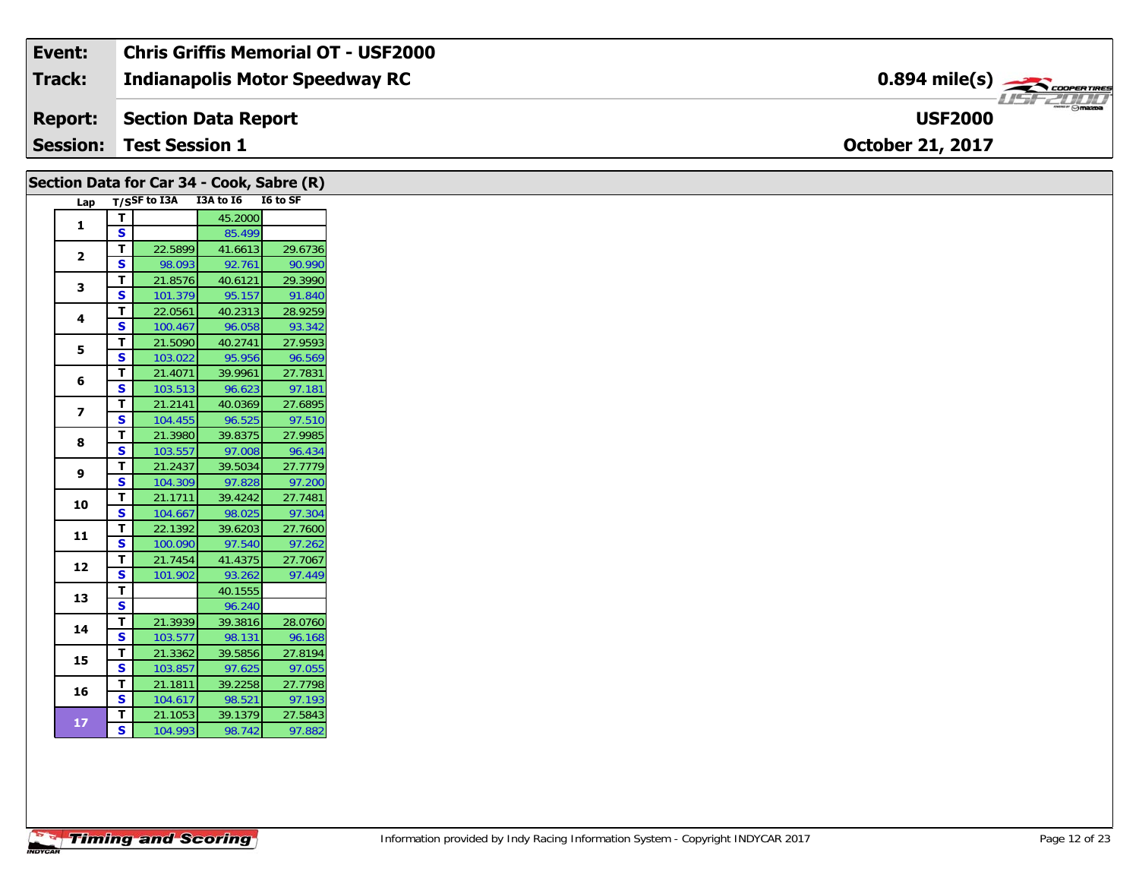| Event:          | <b>Chris Griffis Memorial OT - USF2000</b> |                                   |
|-----------------|--------------------------------------------|-----------------------------------|
| Track:          | Indianapolis Motor Speedway RC             | $0.894$ mile(s) $\frac{1}{2}$     |
| <b>Report:</b>  | Section Data Report                        | $ \theta$ mazoa<br><b>USF2000</b> |
| <b>Session:</b> | <b>Test Session 1</b>                      | <b>October 21, 2017</b>           |

|                          |    | Section Data for Car 34 - Cook, Sabre (R) |           |          |
|--------------------------|----|-------------------------------------------|-----------|----------|
| Lap                      |    | T/SSF to I3A                              | I3A to I6 | I6 to SF |
| 1                        | т  |                                           | 45.2000   |          |
|                          | S  |                                           | 85.499    |          |
| $\overline{2}$           | Т  | 22.5899                                   | 41.6613   | 29.6736  |
|                          | S  | 98.093                                    | 92.761    | 90.990   |
| 3                        | Т  | 21.8576                                   | 40.6121   | 29.3990  |
|                          | S  | 101.379                                   | 95.157    | 91.840   |
| 4                        | т  | 22.0561                                   | 40.2313   | 28.9259  |
|                          | S  | 100.467                                   | 96.058    | 93.342   |
| 5                        | Т  | 21.5090                                   | 40.2741   | 27.9593  |
|                          | S  | 103.022                                   | 95.956    | 96.569   |
| 6                        | T  | 21.4071                                   | 39.9961   | 27.7831  |
|                          | S  | 103.513                                   | 96.623    | 97.181   |
| $\overline{\phantom{a}}$ | T  | 21.2141                                   | 40.0369   | 27.6895  |
|                          | S  | 104.455                                   | 96.525    | 97.510   |
| 8                        | T  | 21.3980                                   | 39.8375   | 27.9985  |
|                          | S  | 103.557                                   | 97.008    | 96.434   |
| 9                        | T  | 21.2437                                   | 39.5034   | 27.7779  |
|                          | S  | 104.309                                   | 97.828    | 97.200   |
| 10                       | Т  | 21.1711                                   | 39.4242   | 27.7481  |
|                          | S  | 104.667                                   | 98.025    | 97.304   |
| 11                       | T  | 22.1392                                   | 39.6203   | 27.7600  |
|                          | S  | 100.090                                   | 97.540    | 97.262   |
| 12                       | Т  | 21.7454                                   | 41.4375   | 27.7067  |
|                          | S  | 101.902                                   | 93.262    | 97.449   |
| 13                       | T  |                                           | 40.1555   |          |
|                          | S  |                                           | 96.240    |          |
| 14                       | T  | 21.3939                                   | 39.3816   | 28.0760  |
|                          | S  | 103.577                                   | 98.131    | 96.168   |
| 15                       | T  | 21.3362                                   | 39.5856   | 27.8194  |
|                          | S  | 103.857                                   | 97.625    | 97.055   |
| 16                       | T  | 21.1811                                   | 39.2258   | 27.7798  |
|                          | S  | 104.617                                   | 98.521    | 97.193   |
| 17                       | т  | 21.1053                                   | 39.1379   | 27.5843  |
|                          | S. | 104.993                                   | 98.742    | 97.882   |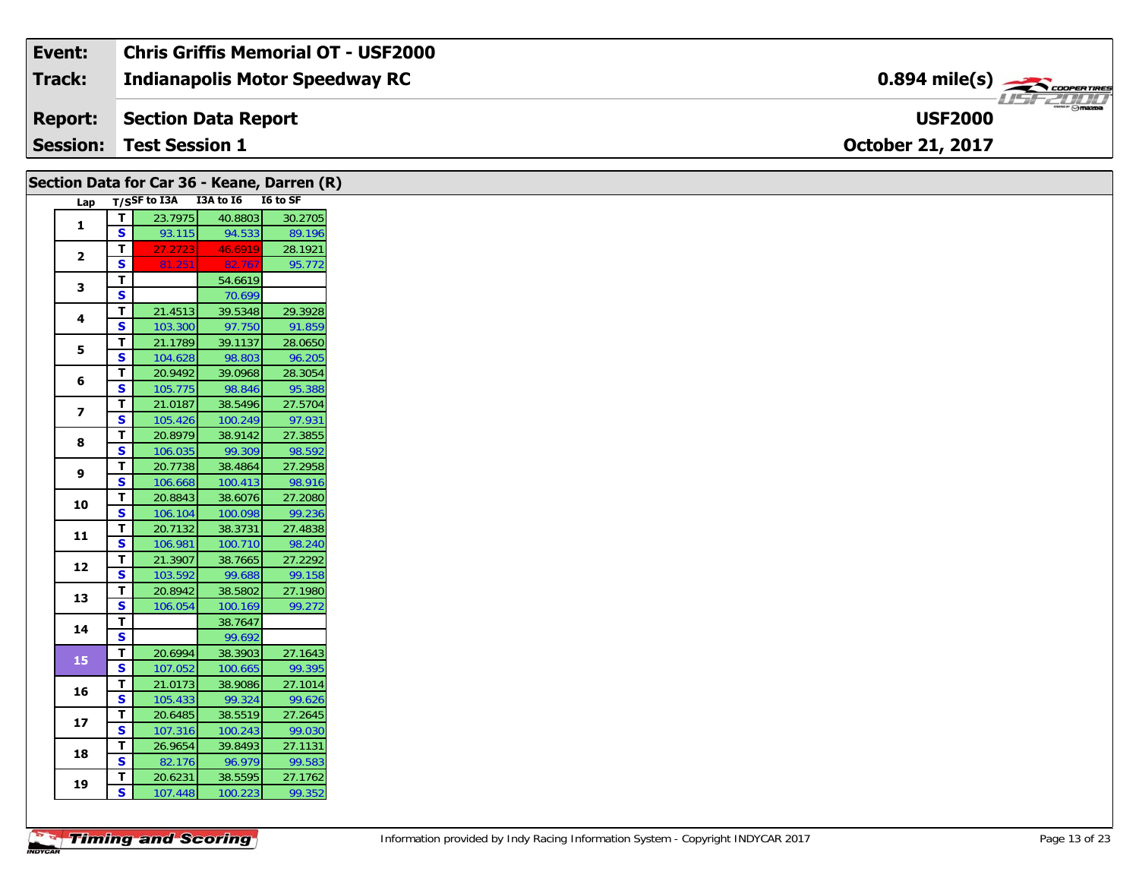| Event:          | Chris Griffis Memorial OT - USF2000 |                                                          |
|-----------------|-------------------------------------|----------------------------------------------------------|
| Track:          | Indianapolis Motor Speedway RC      | $0.894$ mile(s) $\rightarrow$                            |
| <b>Report:</b>  | Section Data Report                 | $\overline{\phantom{m}}$ $\odot$ mazpa<br><b>USF2000</b> |
| <b>Session:</b> | <b>Test Session 1</b>               | <b>October 21, 2017</b>                                  |

|                         |                                                    |                    | Section Data for Car 36 - Keane, Darren (R) |                   |
|-------------------------|----------------------------------------------------|--------------------|---------------------------------------------|-------------------|
| Lap                     |                                                    |                    | T/SSF to I3A I3A to I6 I6 to SF             |                   |
| $\mathbf{1}$            | T.                                                 | 23.7975            | 40.8803                                     | 30.2705           |
|                         | $\mathbf{s}$                                       | 93.115             | 94.533                                      | 89.196            |
| $\overline{2}$          | T                                                  | 27.2723            | 46.6919                                     | 28.1921           |
|                         | S                                                  | 81.251             | 82.767                                      | 95.772            |
| 3                       | T                                                  |                    | 54.6619                                     |                   |
|                         | $\overline{\mathbf{s}}$                            |                    | 70.699                                      |                   |
| 4                       | $\mathbf T$                                        | 21.4513            | 39.5348                                     | 29.3928           |
|                         | S                                                  | 103.300            | 97.750                                      | 91.859            |
| 5                       | $\overline{\mathsf{r}}$<br>$\overline{\mathbf{s}}$ | 21.1789            | 39.1137                                     | 28.0650           |
|                         | $\mathbf T$                                        | 104.628            | 98.803                                      | 96.205            |
| 6                       | S                                                  | 20.9492<br>105.775 | 39.0968<br>98.846                           | 28.3054<br>95.388 |
|                         | T                                                  | 21.0187            | 38.5496                                     | 27.5704           |
| $\overline{\mathbf{z}}$ | S                                                  | 105.426            | 100.249                                     | 97.931            |
|                         | T.                                                 | 20.8979            | 38.9142                                     | 27.3855           |
| 8                       | $\overline{\mathbf{s}}$                            | 106.035            | 99.309                                      | 98.592            |
|                         | T                                                  | 20.7738            | 38.4864                                     | 27.2958           |
| 9                       | S                                                  | 106.668            | 100.413                                     | 98.916            |
|                         | T                                                  | 20.8843            | 38.6076                                     | 27.2080           |
| 10                      | S                                                  | 106.104            | 100.098                                     | 99.236            |
|                         | T                                                  | 20.7132            | 38.3731                                     | 27.4838           |
| 11                      | S                                                  | 106.981            | 100.710                                     | 98.240            |
| 12                      | $\mathbf T$                                        | 21.3907            | 38.7665                                     | 27.2292           |
|                         | S                                                  | 103.592            | 99.688                                      | 99.158            |
| 13                      | T                                                  | 20.8942            | 38.5802                                     | 27.1980           |
|                         | $\mathbf{s}$                                       | 106.054            | 100.169                                     | 99.272            |
| 14                      | T.                                                 |                    | 38.7647                                     |                   |
|                         | $\overline{\mathbf{s}}$                            |                    | 99.692                                      |                   |
| 15                      | $\mathbf{T}$                                       | 20.6994            | 38.3903                                     | 27.1643           |
|                         | $\overline{\mathbf{s}}$                            | 107.052            | 100.665                                     | 99.395            |
| 16                      | T                                                  | 21.0173            | 38.9086                                     | 27.1014           |
|                         | S<br>T                                             | 105.433<br>20.6485 | 99.324<br>38.5519                           | 99.626<br>27.2645 |
| 17                      | ${\sf s}$                                          |                    |                                             | 99.030            |
|                         | T                                                  | 107.316<br>26.9654 | 100.243<br>39.8493                          | 27.1131           |
| 18                      | <b>S</b>                                           | 82.176             | 96.979                                      | 99.583            |
|                         | T                                                  | 20.6231            | 38.5595                                     | 27.1762           |
| 19                      | $\mathbf{s}$                                       | 107.448            | 100.223                                     | 99.352            |
|                         |                                                    |                    |                                             |                   |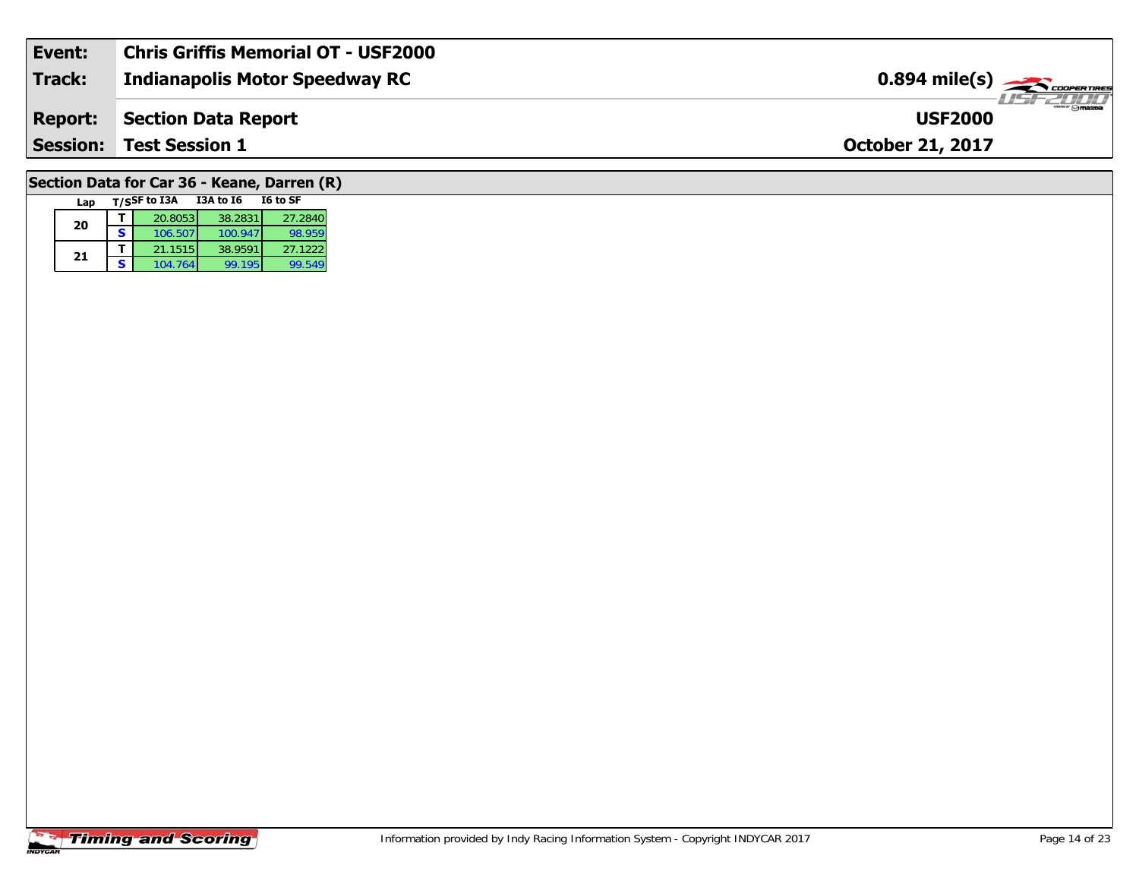|                | <b>Session: Test Session 1</b>             | <b>October 21, 2017</b>                                      |
|----------------|--------------------------------------------|--------------------------------------------------------------|
| <b>Report:</b> | Section Data Report                        | $\overline{\bigcirc_{\mathsf{maxoa}}}$<br><b>USF2000</b>     |
| Track:         | <b>Indianapolis Motor Speedway RC</b>      | $0.894$ mile(s) $\frac{1}{\sqrt{1.500} \text{ CDOPER TRES}}$ |
| Event:         | <b>Chris Griffis Memorial OT - USF2000</b> |                                                              |

# **Section Data for Car 36 - Keane, Darren (R)**

| Lap |   | T/SSF to I3A | I3A to I6 | I6 to SF |
|-----|---|--------------|-----------|----------|
| 20  |   | 20.8053      | 38.2831   | 27.2840  |
|     | s | 106.507      | 100.947   | 98.959   |
|     |   | 21.1515      | 38.9591   | 27.1222  |
| 21  | S | 104.764      | 99.195    | 99.549   |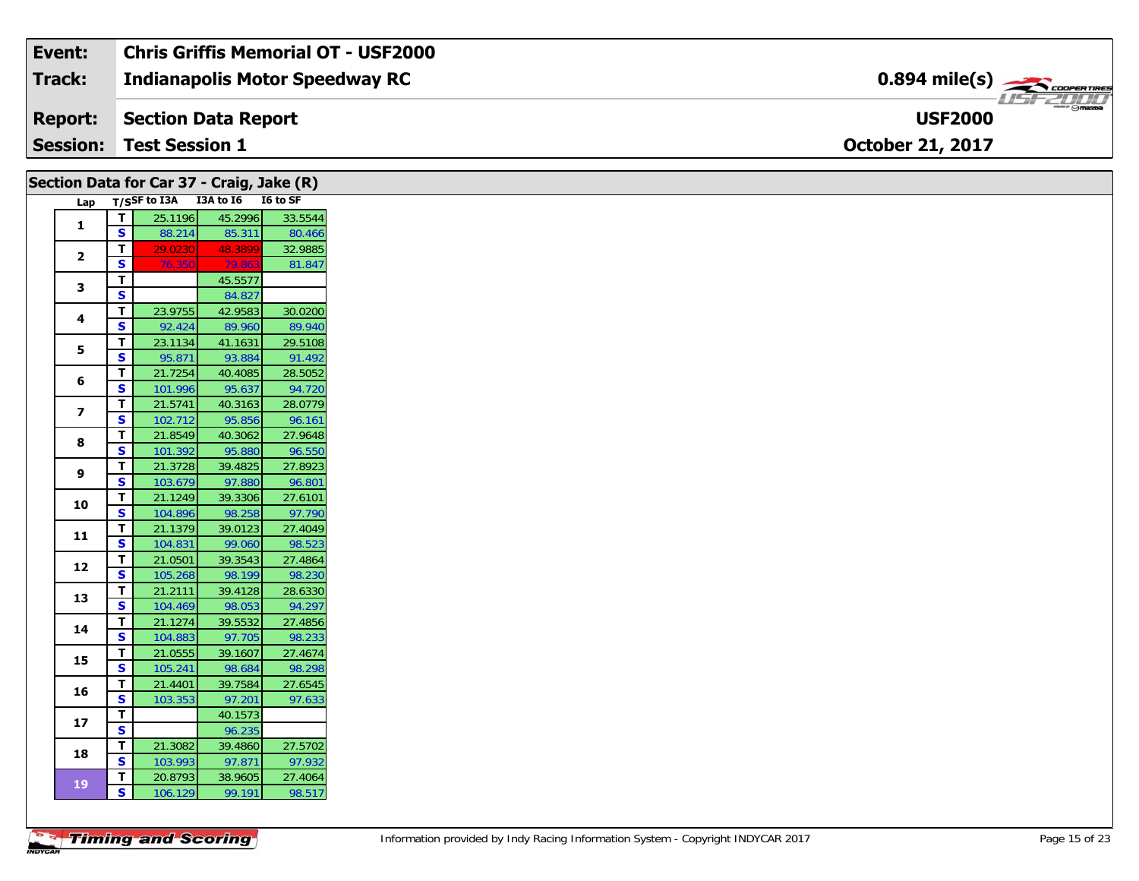| Event:          | <b>Chris Griffis Memorial OT - USF2000</b> |                                                         |
|-----------------|--------------------------------------------|---------------------------------------------------------|
| Track:          | Indianapolis Motor Speedway RC             | $0.894$ mile(s) $\overbrace{\hspace{2cm}}$ coorganges   |
| <b>Report:</b>  | Section Data Report                        | $m_{\text{max}} \odot m_{\text{max}}$<br><b>USF2000</b> |
| <b>Session:</b> | <b>Test Session 1</b>                      | <b>October 21, 2017</b>                                 |

| Section Data for Car 37 - Craig, Jake (R) |                         |                                     |                   |                   |
|-------------------------------------------|-------------------------|-------------------------------------|-------------------|-------------------|
|                                           |                         | Lap T/SSF to I3A I3A to I6 I6 to SF |                   |                   |
|                                           | $\mathbf T$             | 25.1196                             | 45.2996           | 33.5544           |
| $\mathbf{1}$                              | S                       | 88.214                              | 85.311            | 80.466            |
|                                           | T                       | 29.0230                             | 48.3899           | 32.9885           |
| $\mathbf{2}$                              | <b>S</b>                | 76.350                              | 79.863            | 81.847            |
| 3                                         | $\mathbf T$             |                                     | 45.5577           |                   |
|                                           | $\mathbf{s}$            |                                     | 84.827            |                   |
| 4                                         | T                       | 23.9755                             | 42.9583           | 30.0200           |
|                                           | S                       | 92.424                              | 89.960            | 89.940            |
| 5                                         | T                       | 23.1134                             | 41.1631           | 29.5108           |
|                                           | <b>S</b>                | 95.871                              | 93.884            | 91.492            |
| 6                                         | T                       | 21.7254                             | 40.4085           | 28.5052           |
|                                           | S                       | 101.996                             | 95.637            | 94.720            |
| $\overline{\mathbf{z}}$                   | T                       | 21.5741                             | 40.3163           | 28.0779           |
|                                           | S                       | 102.712                             | 95.856            | 96.161            |
| 8                                         | T                       | 21.8549                             | 40.3062           | 27.9648           |
|                                           | S                       | 101.392                             | 95.880            | 96.550            |
| 9                                         | T.                      | 21.3728                             | 39.4825           | 27.8923           |
|                                           | S                       | 103.679                             | 97.880            | 96.801            |
| 10                                        | T                       | 21.1249                             | 39.3306           | 27.6101           |
|                                           | S                       | 104.896                             | 98.258            | 97.790            |
| 11                                        | T.                      | 21.1379                             | 39.0123           | 27.4049           |
|                                           | S                       | 104.831                             | 99.060            | 98.523            |
| 12                                        | т                       | 21.0501                             | 39.3543           | 27.4864           |
|                                           | S                       | 105.268                             | 98.199            | 98.230            |
| 13                                        | T                       | 21.2111                             | 39.4128           | 28.6330           |
|                                           | $\mathbf{s}$            | 104.469                             | 98.053            | 94.297            |
| 14                                        | T                       | 21.1274                             | 39.5532           | 27.4856           |
|                                           | S                       | 104.883                             | 97.705            | 98.233            |
| 15                                        | Т<br>S                  | 21.0555                             | 39.1607           | 27.4674           |
|                                           |                         | 105.241                             | 98.684            | 98.298            |
| 16                                        | T<br>S                  | 21.4401                             | 39.7584           | 27.6545<br>97.633 |
|                                           | $\mathbf T$             | 103.353                             | 97.201<br>40.1573 |                   |
| 17                                        | $\overline{\mathbf{s}}$ |                                     | 96.235            |                   |
|                                           | T                       | 21.3082                             | 39.4860           | 27.5702           |
| 18                                        | S                       | 103.993                             | 97.871            | 97.932            |
|                                           | T                       | 20.8793                             | 38.9605           | 27.4064           |
| ${\bf 19}$                                | S                       | 106.129                             | 99.191            | 98.517            |
|                                           |                         |                                     |                   |                   |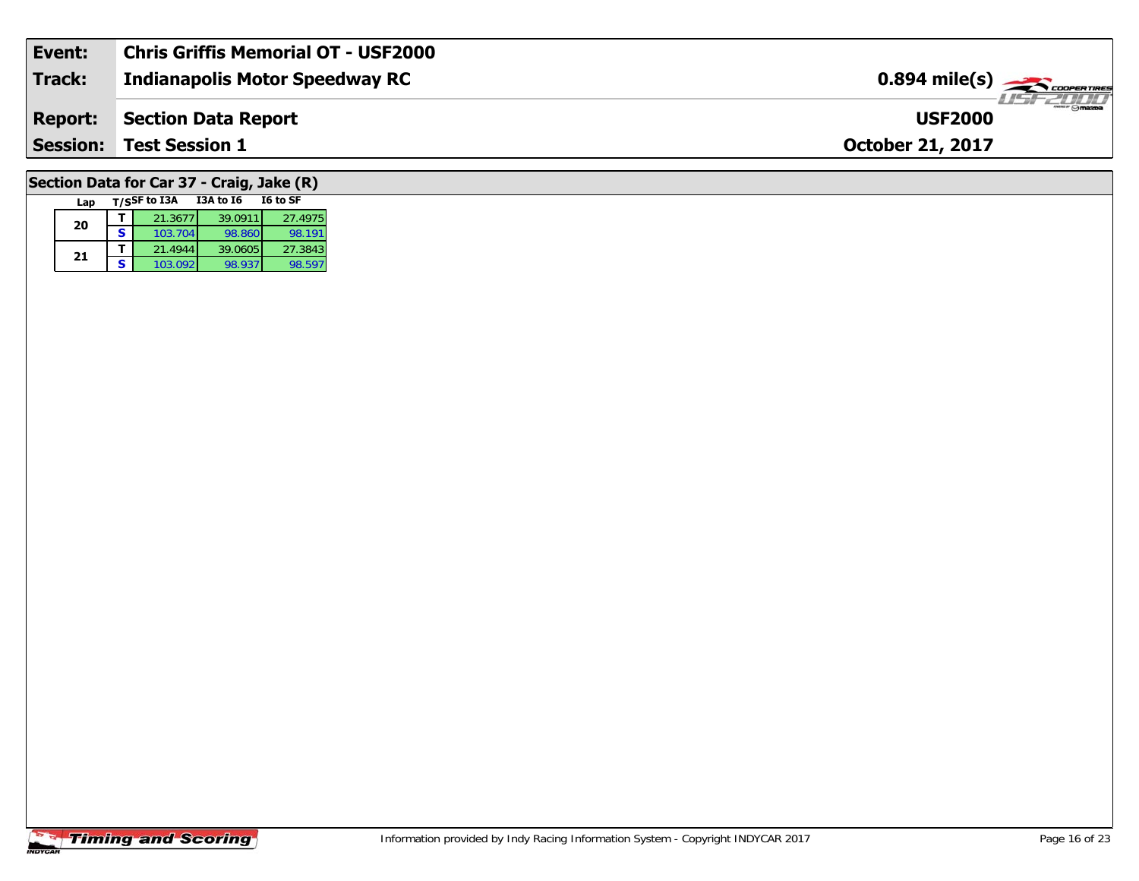| Event:         | <b>Chris Griffis Memorial OT - USF2000</b> |                                                         |
|----------------|--------------------------------------------|---------------------------------------------------------|
| <b>Track:</b>  | Indianapolis Motor Speedway RC             | $0.894$ mile(s) $\overbrace{\hspace{2cm}}$ coorer Times |
| <b>Report:</b> | Section Data Report                        | <b>USF2000</b>                                          |
|                | <b>Session: Test Session 1</b>             | <b>October 21, 2017</b>                                 |
|                | Section Data for Car 37 - Craig, Jake (R)  |                                                         |

#### **Timing and Scoring**

**Lap T/SSF to I3A I3A to I6 I6 to SF** 

**<sup>T</sup>** 21.3677 39.0911 27.4975 **<sup>S</sup>** 103.704 98.860 98.191

**<sup>T</sup>** 21.4944 39.0605 27.3843 **<sup>S</sup>** 103.092 98.937 98.597

98.191

98.597

**20**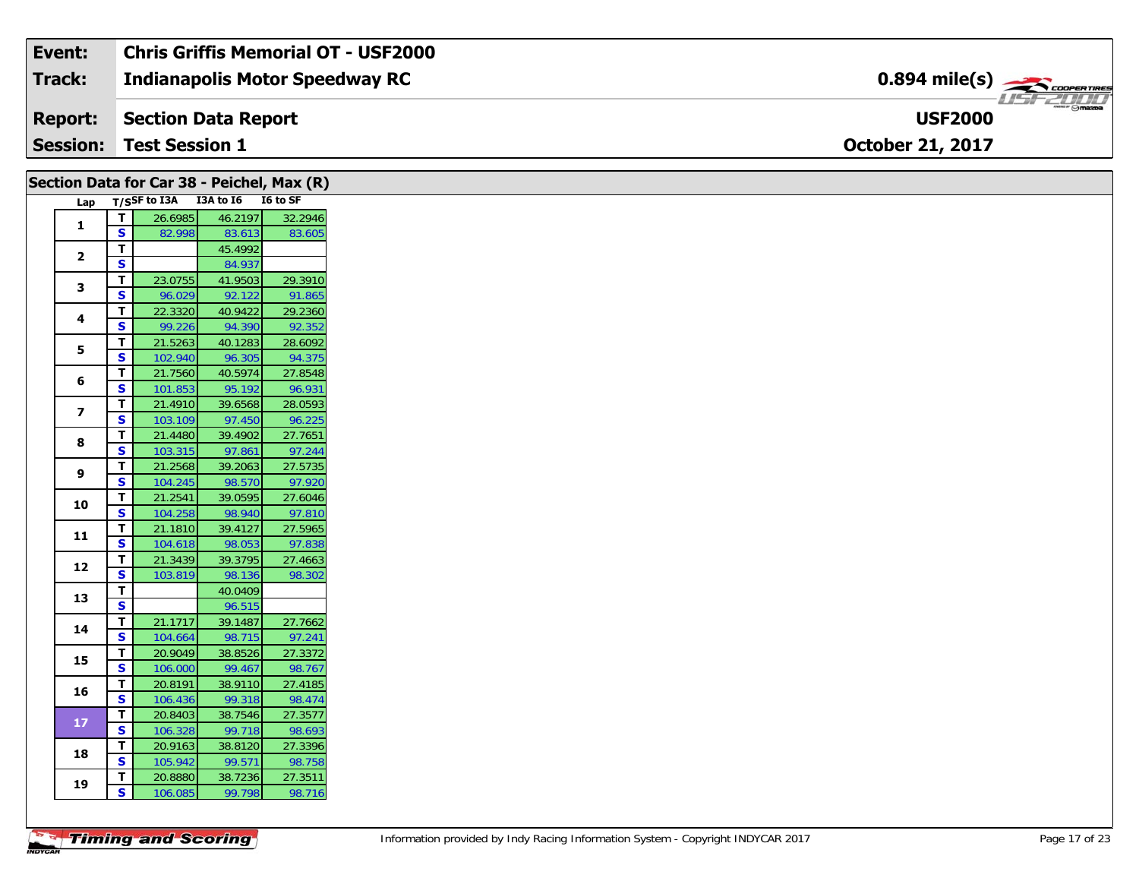| Event:          | Chris Griffis Memorial OT - USF2000 |                                                                                                                                                                                                                                                                                                                                                                                                                                                                                                   |
|-----------------|-------------------------------------|---------------------------------------------------------------------------------------------------------------------------------------------------------------------------------------------------------------------------------------------------------------------------------------------------------------------------------------------------------------------------------------------------------------------------------------------------------------------------------------------------|
| Track:          | Indianapolis Motor Speedway RC      | $0.894$ mile(s) $\overbrace{\hspace{2cm}}$ coorganges                                                                                                                                                                                                                                                                                                                                                                                                                                             |
| <b>Report:</b>  | Section Data Report                 | $\overline{\phantom{a}}$ $\overline{\phantom{a}}$ $\overline{\phantom{a}}$ $\overline{\phantom{a}}$ $\overline{\phantom{a}}$ $\overline{\phantom{a}}$ $\overline{\phantom{a}}$ $\overline{\phantom{a}}$ $\overline{\phantom{a}}$ $\overline{\phantom{a}}$ $\overline{\phantom{a}}$ $\overline{\phantom{a}}$ $\overline{\phantom{a}}$ $\overline{\phantom{a}}$ $\overline{\phantom{a}}$ $\overline{\phantom{a}}$ $\overline{\phantom{a}}$ $\overline{\phantom{a}}$ $\overline{\$<br><b>USF2000</b> |
| <b>Session:</b> | Test Session 1                      | <b>October 21, 2017</b>                                                                                                                                                                                                                                                                                                                                                                                                                                                                           |

| Lap T/SSF to I3A I3A to I6 I6 to SF<br>26.6985<br>46.2197<br>T<br>$\mathbf{1}$<br>S<br>82.998<br>83.613<br>T.<br>45.4992<br>$\mathbf{2}$<br>$\overline{\mathbf{s}}$<br>84.937<br>T<br>23.0755<br>41.9503<br>3<br>S<br>92.122<br>96.029<br>T.<br>40.9422<br>22.3320<br>4<br>$\mathbf{s}$<br>99.226<br>94.390<br>T.<br>21.5263<br>40.1283<br>5<br>$\overline{\mathbf{s}}$<br>102.940<br>96.305<br>21.7560<br>T.<br>40.5974<br>6<br>S<br>101.853<br>95.192<br>96.931<br>T<br>21.4910<br>39.6568<br>$\overline{z}$<br>S.<br>96.225<br>97.450<br>103.109<br>27.7651<br>21.4480<br>39.4902<br>T.<br>8<br>$\mathbf{s}$<br>103.315<br>97.861<br>27.5735<br>21.2568<br>39.2063<br>T.<br>9<br>$\overline{\mathbf{s}}$<br>97.920<br>104.245<br>98.570<br>T.<br>21.2541<br>39.0595<br>10<br>$\overline{\mathbf{s}}$<br>104.258<br>98.940<br>T<br>39.4127<br>21.1810<br>11<br>S.<br>97.838<br>104.618<br>98.053<br>27.4663<br>21.3439<br>39.3795<br>T.<br>12<br>S.<br>98.136<br>98.302<br>103.819<br>$\mathbf T$<br>40.0409<br>13<br>$\overline{\mathbf{s}}$<br>96.515<br>39.1487<br>27.7662<br>$\mathbf{T}$<br>21.1717<br>14<br>$\mathbf{s}$<br>104.664<br>98.715<br>97.241<br>20.9049<br>38.8526<br>27.3372<br>T.<br>15<br>$\overline{\mathbf{s}}$<br>99.467<br>98.767<br>106.000<br>T.<br>20.8191<br>27.4185<br>38.9110<br>16<br>S<br>98.474<br>99.318<br>106.436<br>T.<br>20.8403<br>38.7546<br>27.3577<br>$17$<br><b>S</b><br>106.328<br>98.693<br>99.718<br>27.3396<br>20.9163<br>38.8120<br>T.<br>18<br>S<br>99.571<br>105.942<br>98.758<br>27.3511<br>20.8880<br>38.7236<br>Т.<br>19<br>$\mathbf{s}$<br>99.798<br>98.716<br>106.085 |  | Section Data for Car 38 - Peichel, Max (R) |         |
|--------------------------------------------------------------------------------------------------------------------------------------------------------------------------------------------------------------------------------------------------------------------------------------------------------------------------------------------------------------------------------------------------------------------------------------------------------------------------------------------------------------------------------------------------------------------------------------------------------------------------------------------------------------------------------------------------------------------------------------------------------------------------------------------------------------------------------------------------------------------------------------------------------------------------------------------------------------------------------------------------------------------------------------------------------------------------------------------------------------------------------------------------------------------------------------------------------------------------------------------------------------------------------------------------------------------------------------------------------------------------------------------------------------------------------------------------------------------------------------------------------------------------------------------------------------------------------------------------------------------------------|--|--------------------------------------------|---------|
|                                                                                                                                                                                                                                                                                                                                                                                                                                                                                                                                                                                                                                                                                                                                                                                                                                                                                                                                                                                                                                                                                                                                                                                                                                                                                                                                                                                                                                                                                                                                                                                                                                |  |                                            |         |
|                                                                                                                                                                                                                                                                                                                                                                                                                                                                                                                                                                                                                                                                                                                                                                                                                                                                                                                                                                                                                                                                                                                                                                                                                                                                                                                                                                                                                                                                                                                                                                                                                                |  |                                            | 32.2946 |
|                                                                                                                                                                                                                                                                                                                                                                                                                                                                                                                                                                                                                                                                                                                                                                                                                                                                                                                                                                                                                                                                                                                                                                                                                                                                                                                                                                                                                                                                                                                                                                                                                                |  |                                            | 83.605  |
|                                                                                                                                                                                                                                                                                                                                                                                                                                                                                                                                                                                                                                                                                                                                                                                                                                                                                                                                                                                                                                                                                                                                                                                                                                                                                                                                                                                                                                                                                                                                                                                                                                |  |                                            |         |
|                                                                                                                                                                                                                                                                                                                                                                                                                                                                                                                                                                                                                                                                                                                                                                                                                                                                                                                                                                                                                                                                                                                                                                                                                                                                                                                                                                                                                                                                                                                                                                                                                                |  |                                            |         |
|                                                                                                                                                                                                                                                                                                                                                                                                                                                                                                                                                                                                                                                                                                                                                                                                                                                                                                                                                                                                                                                                                                                                                                                                                                                                                                                                                                                                                                                                                                                                                                                                                                |  |                                            | 29.3910 |
|                                                                                                                                                                                                                                                                                                                                                                                                                                                                                                                                                                                                                                                                                                                                                                                                                                                                                                                                                                                                                                                                                                                                                                                                                                                                                                                                                                                                                                                                                                                                                                                                                                |  |                                            | 91.865  |
|                                                                                                                                                                                                                                                                                                                                                                                                                                                                                                                                                                                                                                                                                                                                                                                                                                                                                                                                                                                                                                                                                                                                                                                                                                                                                                                                                                                                                                                                                                                                                                                                                                |  |                                            | 29.2360 |
|                                                                                                                                                                                                                                                                                                                                                                                                                                                                                                                                                                                                                                                                                                                                                                                                                                                                                                                                                                                                                                                                                                                                                                                                                                                                                                                                                                                                                                                                                                                                                                                                                                |  |                                            | 92.352  |
|                                                                                                                                                                                                                                                                                                                                                                                                                                                                                                                                                                                                                                                                                                                                                                                                                                                                                                                                                                                                                                                                                                                                                                                                                                                                                                                                                                                                                                                                                                                                                                                                                                |  |                                            | 28.6092 |
|                                                                                                                                                                                                                                                                                                                                                                                                                                                                                                                                                                                                                                                                                                                                                                                                                                                                                                                                                                                                                                                                                                                                                                                                                                                                                                                                                                                                                                                                                                                                                                                                                                |  |                                            | 94.375  |
|                                                                                                                                                                                                                                                                                                                                                                                                                                                                                                                                                                                                                                                                                                                                                                                                                                                                                                                                                                                                                                                                                                                                                                                                                                                                                                                                                                                                                                                                                                                                                                                                                                |  |                                            | 27.8548 |
|                                                                                                                                                                                                                                                                                                                                                                                                                                                                                                                                                                                                                                                                                                                                                                                                                                                                                                                                                                                                                                                                                                                                                                                                                                                                                                                                                                                                                                                                                                                                                                                                                                |  |                                            |         |
|                                                                                                                                                                                                                                                                                                                                                                                                                                                                                                                                                                                                                                                                                                                                                                                                                                                                                                                                                                                                                                                                                                                                                                                                                                                                                                                                                                                                                                                                                                                                                                                                                                |  |                                            | 28.0593 |
|                                                                                                                                                                                                                                                                                                                                                                                                                                                                                                                                                                                                                                                                                                                                                                                                                                                                                                                                                                                                                                                                                                                                                                                                                                                                                                                                                                                                                                                                                                                                                                                                                                |  |                                            |         |
|                                                                                                                                                                                                                                                                                                                                                                                                                                                                                                                                                                                                                                                                                                                                                                                                                                                                                                                                                                                                                                                                                                                                                                                                                                                                                                                                                                                                                                                                                                                                                                                                                                |  |                                            |         |
|                                                                                                                                                                                                                                                                                                                                                                                                                                                                                                                                                                                                                                                                                                                                                                                                                                                                                                                                                                                                                                                                                                                                                                                                                                                                                                                                                                                                                                                                                                                                                                                                                                |  |                                            | 97.244  |
|                                                                                                                                                                                                                                                                                                                                                                                                                                                                                                                                                                                                                                                                                                                                                                                                                                                                                                                                                                                                                                                                                                                                                                                                                                                                                                                                                                                                                                                                                                                                                                                                                                |  |                                            |         |
|                                                                                                                                                                                                                                                                                                                                                                                                                                                                                                                                                                                                                                                                                                                                                                                                                                                                                                                                                                                                                                                                                                                                                                                                                                                                                                                                                                                                                                                                                                                                                                                                                                |  |                                            |         |
|                                                                                                                                                                                                                                                                                                                                                                                                                                                                                                                                                                                                                                                                                                                                                                                                                                                                                                                                                                                                                                                                                                                                                                                                                                                                                                                                                                                                                                                                                                                                                                                                                                |  |                                            | 27.6046 |
|                                                                                                                                                                                                                                                                                                                                                                                                                                                                                                                                                                                                                                                                                                                                                                                                                                                                                                                                                                                                                                                                                                                                                                                                                                                                                                                                                                                                                                                                                                                                                                                                                                |  |                                            | 97.810  |
|                                                                                                                                                                                                                                                                                                                                                                                                                                                                                                                                                                                                                                                                                                                                                                                                                                                                                                                                                                                                                                                                                                                                                                                                                                                                                                                                                                                                                                                                                                                                                                                                                                |  |                                            | 27.5965 |
|                                                                                                                                                                                                                                                                                                                                                                                                                                                                                                                                                                                                                                                                                                                                                                                                                                                                                                                                                                                                                                                                                                                                                                                                                                                                                                                                                                                                                                                                                                                                                                                                                                |  |                                            |         |
|                                                                                                                                                                                                                                                                                                                                                                                                                                                                                                                                                                                                                                                                                                                                                                                                                                                                                                                                                                                                                                                                                                                                                                                                                                                                                                                                                                                                                                                                                                                                                                                                                                |  |                                            |         |
|                                                                                                                                                                                                                                                                                                                                                                                                                                                                                                                                                                                                                                                                                                                                                                                                                                                                                                                                                                                                                                                                                                                                                                                                                                                                                                                                                                                                                                                                                                                                                                                                                                |  |                                            |         |
|                                                                                                                                                                                                                                                                                                                                                                                                                                                                                                                                                                                                                                                                                                                                                                                                                                                                                                                                                                                                                                                                                                                                                                                                                                                                                                                                                                                                                                                                                                                                                                                                                                |  |                                            |         |
|                                                                                                                                                                                                                                                                                                                                                                                                                                                                                                                                                                                                                                                                                                                                                                                                                                                                                                                                                                                                                                                                                                                                                                                                                                                                                                                                                                                                                                                                                                                                                                                                                                |  |                                            |         |
|                                                                                                                                                                                                                                                                                                                                                                                                                                                                                                                                                                                                                                                                                                                                                                                                                                                                                                                                                                                                                                                                                                                                                                                                                                                                                                                                                                                                                                                                                                                                                                                                                                |  |                                            |         |
|                                                                                                                                                                                                                                                                                                                                                                                                                                                                                                                                                                                                                                                                                                                                                                                                                                                                                                                                                                                                                                                                                                                                                                                                                                                                                                                                                                                                                                                                                                                                                                                                                                |  |                                            |         |
|                                                                                                                                                                                                                                                                                                                                                                                                                                                                                                                                                                                                                                                                                                                                                                                                                                                                                                                                                                                                                                                                                                                                                                                                                                                                                                                                                                                                                                                                                                                                                                                                                                |  |                                            |         |
|                                                                                                                                                                                                                                                                                                                                                                                                                                                                                                                                                                                                                                                                                                                                                                                                                                                                                                                                                                                                                                                                                                                                                                                                                                                                                                                                                                                                                                                                                                                                                                                                                                |  |                                            |         |
|                                                                                                                                                                                                                                                                                                                                                                                                                                                                                                                                                                                                                                                                                                                                                                                                                                                                                                                                                                                                                                                                                                                                                                                                                                                                                                                                                                                                                                                                                                                                                                                                                                |  |                                            |         |
|                                                                                                                                                                                                                                                                                                                                                                                                                                                                                                                                                                                                                                                                                                                                                                                                                                                                                                                                                                                                                                                                                                                                                                                                                                                                                                                                                                                                                                                                                                                                                                                                                                |  |                                            |         |
|                                                                                                                                                                                                                                                                                                                                                                                                                                                                                                                                                                                                                                                                                                                                                                                                                                                                                                                                                                                                                                                                                                                                                                                                                                                                                                                                                                                                                                                                                                                                                                                                                                |  |                                            |         |
|                                                                                                                                                                                                                                                                                                                                                                                                                                                                                                                                                                                                                                                                                                                                                                                                                                                                                                                                                                                                                                                                                                                                                                                                                                                                                                                                                                                                                                                                                                                                                                                                                                |  |                                            |         |
|                                                                                                                                                                                                                                                                                                                                                                                                                                                                                                                                                                                                                                                                                                                                                                                                                                                                                                                                                                                                                                                                                                                                                                                                                                                                                                                                                                                                                                                                                                                                                                                                                                |  |                                            |         |
|                                                                                                                                                                                                                                                                                                                                                                                                                                                                                                                                                                                                                                                                                                                                                                                                                                                                                                                                                                                                                                                                                                                                                                                                                                                                                                                                                                                                                                                                                                                                                                                                                                |  |                                            |         |
|                                                                                                                                                                                                                                                                                                                                                                                                                                                                                                                                                                                                                                                                                                                                                                                                                                                                                                                                                                                                                                                                                                                                                                                                                                                                                                                                                                                                                                                                                                                                                                                                                                |  |                                            |         |
|                                                                                                                                                                                                                                                                                                                                                                                                                                                                                                                                                                                                                                                                                                                                                                                                                                                                                                                                                                                                                                                                                                                                                                                                                                                                                                                                                                                                                                                                                                                                                                                                                                |  |                                            |         |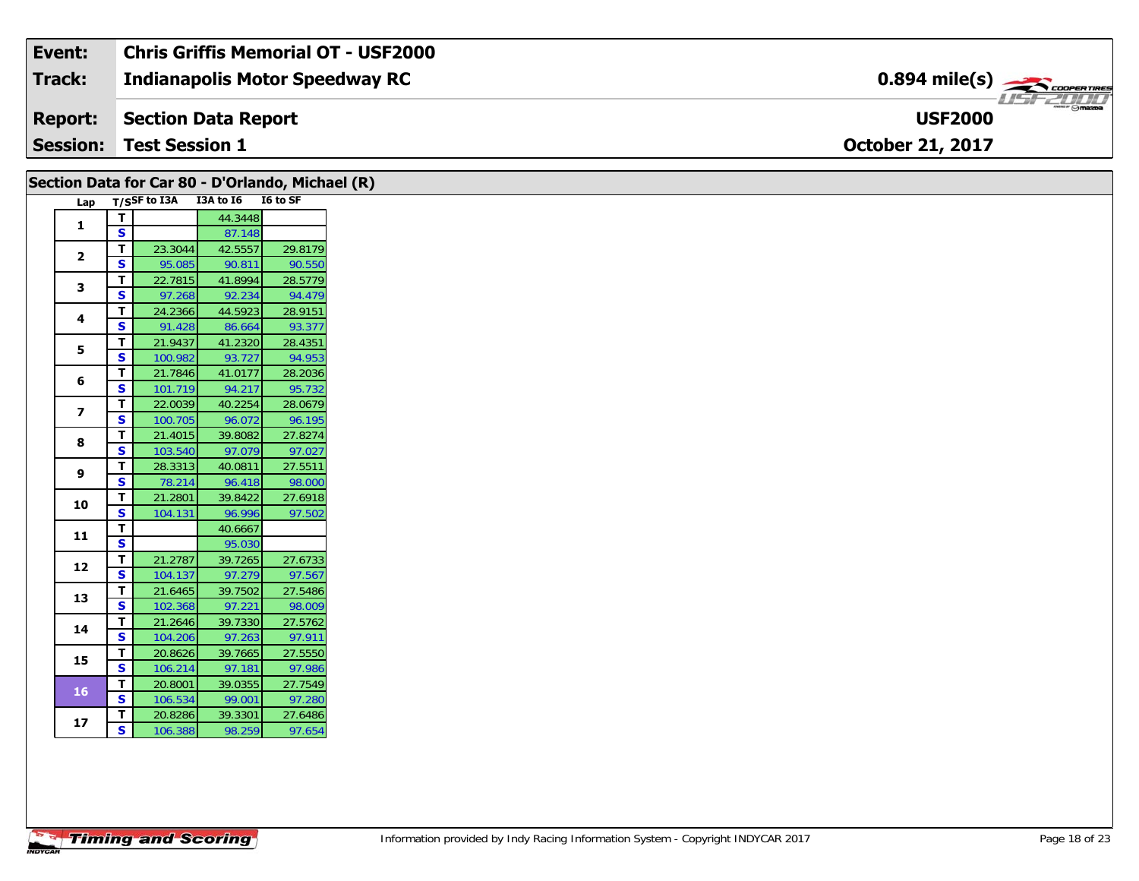| Event:          | <b>Chris Griffis Memorial OT - USF2000</b> |                                        |
|-----------------|--------------------------------------------|----------------------------------------|
| <b>Track:</b>   | <b>Indianapolis Motor Speedway RC</b>      | $0.894$ mile(s) $\frac{1}{2}$          |
| <b>Report:</b>  | Section Data Report                        | $\neg$ $\odot$ mazpa<br><b>USF2000</b> |
| <b>Session:</b> | <b>Test Session 1</b>                      | <b>October 21, 2017</b>                |

| Section Data for Car 80 - D'Orlando, Michael (R) |                         |                                 |         |         |
|--------------------------------------------------|-------------------------|---------------------------------|---------|---------|
| Lap                                              |                         | T/SSF to I3A I3A to I6 I6 to SF |         |         |
|                                                  | $\mathbf{T}$            |                                 | 44.3448 |         |
| $\mathbf{1}$                                     | $\overline{\mathbf{s}}$ |                                 | 87.148  |         |
|                                                  | T                       | 23.3044                         | 42.5557 | 29.8179 |
| $\mathbf{2}$                                     | $\mathbf{s}$            | 95.085                          | 90.811  | 90.550  |
| 3                                                | $\mathbf{T}$            | 22.7815                         | 41.8994 | 28.5779 |
|                                                  | S                       | 97.268                          | 92.234  | 94.479  |
|                                                  | T.                      | 24.2366                         | 44.5923 | 28.9151 |
| 4                                                | $\mathbf{s}$            | 91.428                          | 86.664  | 93.377  |
|                                                  | T                       | 21.9437                         | 41.2320 | 28.4351 |
| 5                                                | $\overline{\mathbf{s}}$ | 100.982                         | 93.727  | 94.953  |
|                                                  | T                       | 21.7846                         | 41.0177 | 28.2036 |
| 6                                                | $\mathbf{s}$            | 101.719                         | 94.217  | 95.732  |
|                                                  | T                       | 22.0039                         | 40.2254 | 28.0679 |
| $\overline{z}$                                   | S                       | 100.705                         | 96.072  | 96.195  |
|                                                  | T.                      | 21.4015                         | 39.8082 | 27.8274 |
| 8                                                | S                       | 103.540                         | 97.079  | 97.027  |
|                                                  | T.                      | 28.3313                         | 40.0811 | 27.5511 |
| 9                                                | S                       | 78.214                          | 96.418  | 98.000  |
|                                                  | T.                      | 21.2801                         | 39.8422 | 27.6918 |
| 10                                               | S                       | 104.131                         | 96.996  | 97.502  |
| 11                                               | T.                      |                                 | 40.6667 |         |
|                                                  | $\overline{\mathbf{s}}$ |                                 | 95.030  |         |
|                                                  | $\mathbf{T}$            | 21.2787                         | 39.7265 | 27.6733 |
| 12                                               | $\mathbf{s}$            | 104.137                         | 97.279  | 97.567  |
|                                                  | $\mathbf{T}$            | 21.6465                         | 39.7502 | 27.5486 |
| 13                                               | S                       | 102.368                         | 97.221  | 98.009  |
|                                                  | $\mathbf{T}$            | 21.2646                         | 39.7330 | 27.5762 |
| 14                                               | S                       | 104.206                         | 97.263  | 97.911  |
|                                                  | $\mathbf{T}$            | 20.8626                         | 39.7665 | 27.5550 |
| 15                                               | $\mathbf{s}$            | 106.214                         | 97.181  | 97.986  |
|                                                  | T                       | 20.8001                         | 39.0355 | 27.7549 |
| <b>16</b>                                        | $\mathbf{s}$            | 106.534                         | 99.001  | 97.280  |
|                                                  | T                       | 20.8286                         | 39.3301 | 27.6486 |
| 17                                               | S                       | 106.388                         | 98.259  | 97.654  |
|                                                  |                         |                                 |         |         |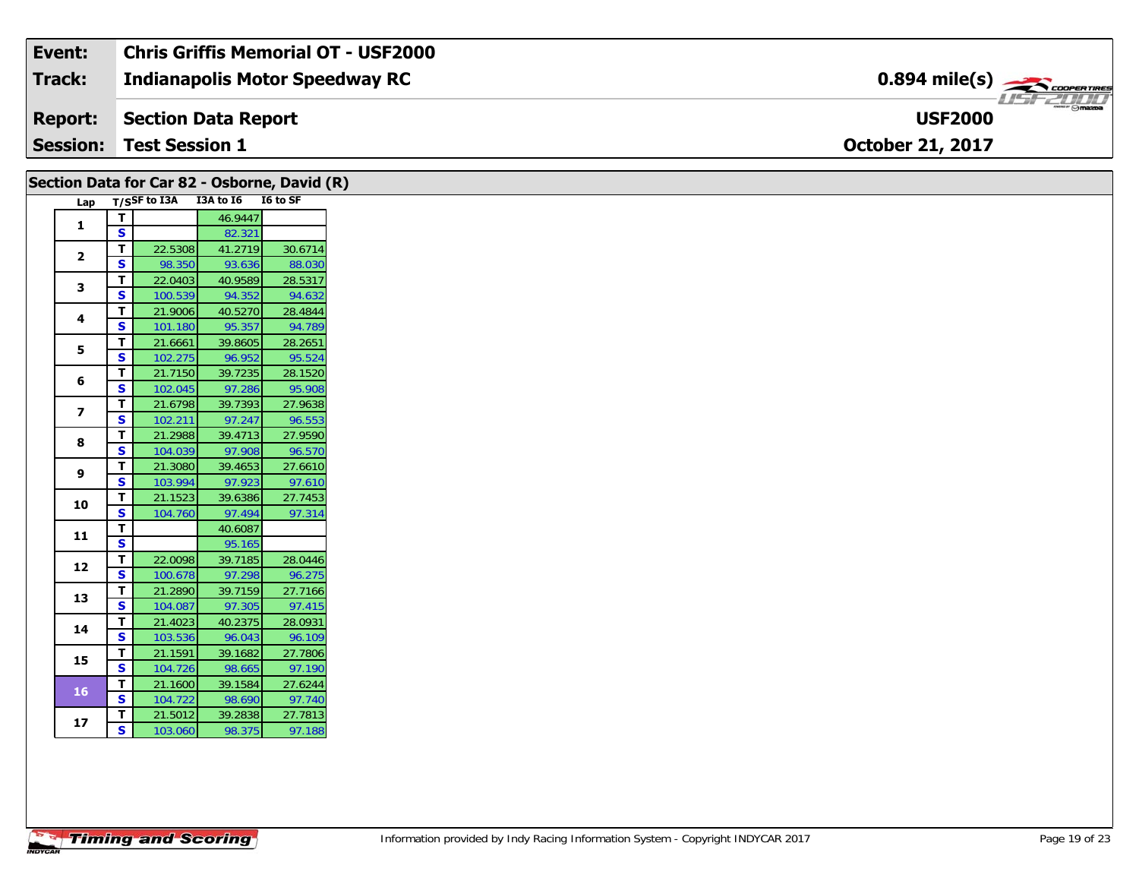| Event:          | Chris Griffis Memorial OT - USF2000 |                                                                                                                                                                                                                                                                                                                                                                                                                                                                                                   |
|-----------------|-------------------------------------|---------------------------------------------------------------------------------------------------------------------------------------------------------------------------------------------------------------------------------------------------------------------------------------------------------------------------------------------------------------------------------------------------------------------------------------------------------------------------------------------------|
| <b>Track:</b>   | Indianapolis Motor Speedway RC      | $0.894$ mile(s) $\overbrace{\hspace{2cm}}$ coorganged                                                                                                                                                                                                                                                                                                                                                                                                                                             |
| <b>Report:</b>  | Section Data Report                 | $\overline{\phantom{a}}$ $\overline{\phantom{a}}$ $\overline{\phantom{a}}$ $\overline{\phantom{a}}$ $\overline{\phantom{a}}$ $\overline{\phantom{a}}$ $\overline{\phantom{a}}$ $\overline{\phantom{a}}$ $\overline{\phantom{a}}$ $\overline{\phantom{a}}$ $\overline{\phantom{a}}$ $\overline{\phantom{a}}$ $\overline{\phantom{a}}$ $\overline{\phantom{a}}$ $\overline{\phantom{a}}$ $\overline{\phantom{a}}$ $\overline{\phantom{a}}$ $\overline{\phantom{a}}$ $\overline{\$<br><b>USF2000</b> |
| <b>Session:</b> | <b>Test Session 1</b>               | <b>October 21, 2017</b>                                                                                                                                                                                                                                                                                                                                                                                                                                                                           |

| Lap<br>$\mathbf{1}$      |                         | T/SSF to I3A I3A to I6 I6 to SF |         |         |
|--------------------------|-------------------------|---------------------------------|---------|---------|
|                          |                         |                                 | 46.9447 |         |
|                          | T.<br>$\mathbf{s}$      |                                 | 82.321  |         |
|                          | T.                      | 22.5308                         | 41.2719 | 30.6714 |
| $\mathbf{2}$             | <b>S</b>                | 98.350                          | 93.636  | 88.030  |
|                          | $\mathbf{T}$            | 22.0403                         | 40.9589 | 28.5317 |
| 3                        | $\mathbf{s}$            | 100.539                         | 94.352  | 94.632  |
|                          | T.                      | 21.9006                         | 40.5270 | 28.4844 |
| 4                        | $\mathbf{s}$            | 101.180                         | 95.357  | 94.789  |
|                          | T.                      | 21.6661                         | 39.8605 | 28.2651 |
| 5                        | S                       | 102.275                         | 96.952  | 95.524  |
|                          | T                       | 21.7150                         | 39.7235 | 28.1520 |
| 6                        | S                       | 102.045                         | 97.286  | 95.908  |
|                          | T                       | 21.6798                         | 39.7393 | 27.9638 |
| $\overline{\phantom{a}}$ | <b>S</b>                | 102.211                         | 97.247  | 96.553  |
|                          | $\mathbf{T}$            | 21.2988                         | 39.4713 | 27.9590 |
| 8                        | $\mathbf{s}$            | 104.039                         | 97.908  | 96.570  |
|                          | T.                      | 21.3080                         | 39.4653 | 27.6610 |
| 9                        | S                       | 103.994                         | 97.923  | 97.610  |
|                          | T.                      | 21.1523                         | 39.6386 | 27.7453 |
| 10                       | S                       | 104.760                         | 97.494  | 97.314  |
|                          | T                       |                                 | 40.6087 |         |
| 11                       | $\overline{\mathbf{s}}$ |                                 | 95.165  |         |
|                          | T.                      | 22.0098                         | 39.7185 | 28.0446 |
| 12                       | <b>S</b>                | 100.678                         | 97.298  | 96.275  |
|                          | T.                      | 21.2890                         | 39.7159 | 27.7166 |
| 13                       | S                       | 104.087                         | 97.305  | 97.415  |
| 14                       | T.                      | 21.4023                         | 40.2375 | 28.0931 |
|                          | S                       | 103.536                         | 96.043  | 96.109  |
| 15                       | $\mathbf T$             | 21.1591                         | 39.1682 | 27.7806 |
|                          | $\overline{\mathbf{s}}$ | 104.726                         | 98.665  | 97.190  |
| 16                       | $\mathbf{T}$            | 21.1600                         | 39.1584 | 27.6244 |
|                          | $\mathbf{s}$            | 104.722                         | 98.690  | 97.740  |
| 17                       | T.                      | 21.5012                         | 39.2838 | 27.7813 |
|                          | $\overline{\mathbf{s}}$ | 103.060                         | 98.375  | 97.188  |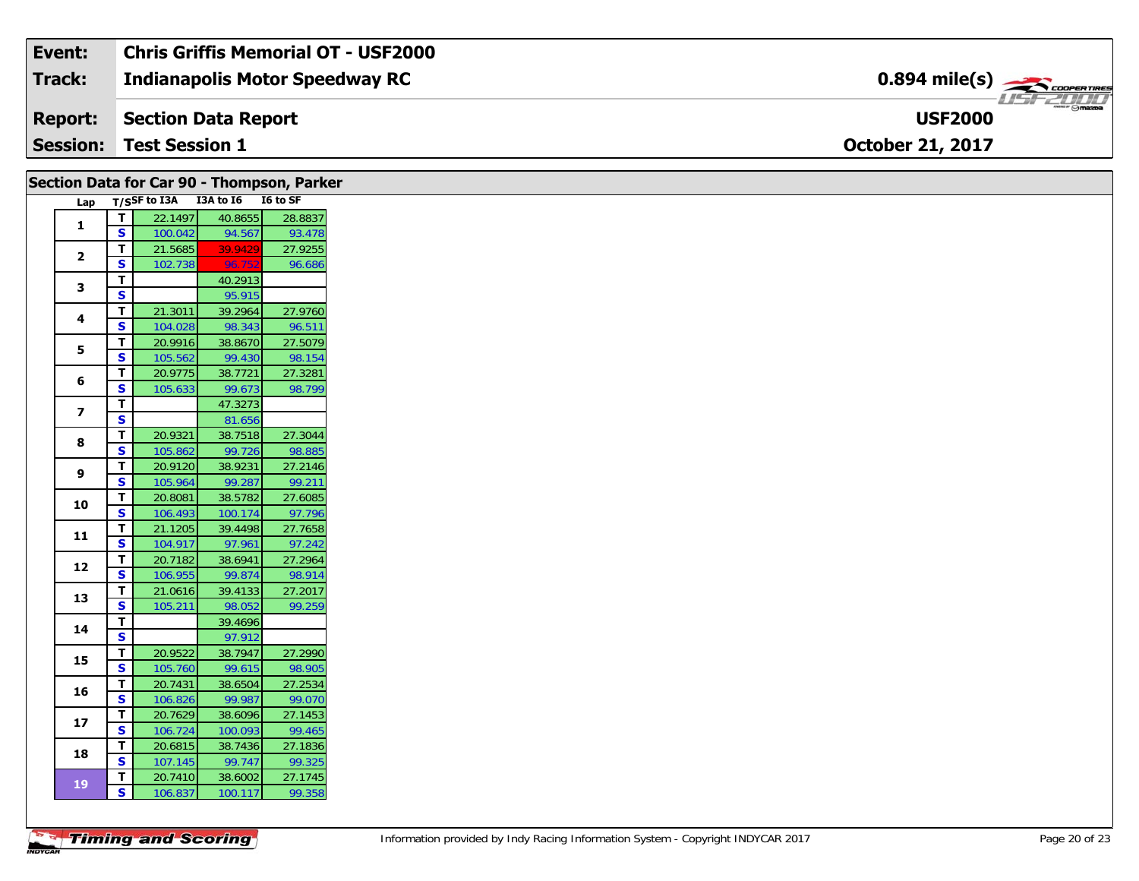| Event:         | <b>Chris Griffis Memorial OT - USF2000</b> |                                                         |
|----------------|--------------------------------------------|---------------------------------------------------------|
| Track:         | Indianapolis Motor Speedway RC             | $0.894$ mile(s) $\overbrace{\hspace{2cm}}$ coorer Times |
| <b>Report:</b> | Section Data Report                        | ZL/L<br><b>USF2000</b>                                  |
|                | <b>Session: Test Session 1</b>             | <b>October 21, 2017</b>                                 |

| Lap<br>$\mathbf T$<br>$\mathbf{1}$<br><b>S</b><br>$\mathbf{T}$<br>$\mathbf{2}$<br>$\mathbf{s}$<br>$\mathbf{T}$<br>3<br>$\mathbf{s}$<br>$\mathbf T$<br>4<br>S<br>$\overline{\mathsf{r}}$<br>5<br>$\overline{\mathbf{s}}$<br>T<br>6<br>S<br>$\overline{t}$<br>$\overline{\mathbf{z}}$<br>S<br>$\mathbf T$<br>8<br>$\overline{\mathbf{s}}$<br>$\mathbf T$<br>9<br>$\textsf{s}$<br>$\mathbf{T}$<br>10<br>$\overline{\mathbf{s}}$<br>$\mathbf T$<br>11<br><b>S</b><br>$\mathbf{T}$<br>12<br>S<br>$\mathbf T$<br>13<br>$\mathsf{s}$<br>$\mathbf T$<br>14<br>$\mathbf{s}$<br>T<br>15<br>$\overline{\mathbf{s}}$<br>$\mathbf{T}$<br>16<br>$\mathbf{s}$<br>T<br>17<br>S<br>T<br>18<br>S<br>$\mathbf{T}$<br><b>19</b><br>S |  |                    | Section Data for Car 90 - Thompson, Parker |                   |
|------------------------------------------------------------------------------------------------------------------------------------------------------------------------------------------------------------------------------------------------------------------------------------------------------------------------------------------------------------------------------------------------------------------------------------------------------------------------------------------------------------------------------------------------------------------------------------------------------------------------------------------------------------------------------------------------------------------|--|--------------------|--------------------------------------------|-------------------|
|                                                                                                                                                                                                                                                                                                                                                                                                                                                                                                                                                                                                                                                                                                                  |  |                    | T/SSF to I3A I3A to I6 I6 to SF            |                   |
|                                                                                                                                                                                                                                                                                                                                                                                                                                                                                                                                                                                                                                                                                                                  |  | 22.1497            | 40.8655                                    | 28.8837           |
|                                                                                                                                                                                                                                                                                                                                                                                                                                                                                                                                                                                                                                                                                                                  |  | 100.042            | 94.567                                     | 93.478            |
|                                                                                                                                                                                                                                                                                                                                                                                                                                                                                                                                                                                                                                                                                                                  |  | 21.5685            | 39.9429                                    | 27.9255           |
|                                                                                                                                                                                                                                                                                                                                                                                                                                                                                                                                                                                                                                                                                                                  |  | 102.738            | 96.752                                     | 96.686            |
|                                                                                                                                                                                                                                                                                                                                                                                                                                                                                                                                                                                                                                                                                                                  |  |                    | 40.2913                                    |                   |
|                                                                                                                                                                                                                                                                                                                                                                                                                                                                                                                                                                                                                                                                                                                  |  | 21.3011            | 95.915<br>39.2964                          | 27.9760           |
|                                                                                                                                                                                                                                                                                                                                                                                                                                                                                                                                                                                                                                                                                                                  |  | 104.028            | 98.343                                     | 96.511            |
|                                                                                                                                                                                                                                                                                                                                                                                                                                                                                                                                                                                                                                                                                                                  |  | 20.9916            | 38.8670                                    | 27.5079           |
|                                                                                                                                                                                                                                                                                                                                                                                                                                                                                                                                                                                                                                                                                                                  |  | 105.562            | 99.430                                     | 98.154            |
|                                                                                                                                                                                                                                                                                                                                                                                                                                                                                                                                                                                                                                                                                                                  |  | 20.9775            | 38.7721                                    | 27.3281           |
|                                                                                                                                                                                                                                                                                                                                                                                                                                                                                                                                                                                                                                                                                                                  |  | 105.633            | 99.673                                     | 98.799            |
|                                                                                                                                                                                                                                                                                                                                                                                                                                                                                                                                                                                                                                                                                                                  |  |                    | 47.3273                                    |                   |
|                                                                                                                                                                                                                                                                                                                                                                                                                                                                                                                                                                                                                                                                                                                  |  |                    | 81.656                                     |                   |
|                                                                                                                                                                                                                                                                                                                                                                                                                                                                                                                                                                                                                                                                                                                  |  | 20.9321            | 38.7518                                    | 27.3044           |
|                                                                                                                                                                                                                                                                                                                                                                                                                                                                                                                                                                                                                                                                                                                  |  | 105.862            | 99.726                                     | 98.885            |
|                                                                                                                                                                                                                                                                                                                                                                                                                                                                                                                                                                                                                                                                                                                  |  | 20.9120            | 38.9231                                    | 27.2146           |
|                                                                                                                                                                                                                                                                                                                                                                                                                                                                                                                                                                                                                                                                                                                  |  | 105.964            | 99.287                                     | 99.211            |
|                                                                                                                                                                                                                                                                                                                                                                                                                                                                                                                                                                                                                                                                                                                  |  | 20.8081            | 38.5782                                    | 27.6085           |
|                                                                                                                                                                                                                                                                                                                                                                                                                                                                                                                                                                                                                                                                                                                  |  | 106.493            | 100.174                                    | 97.796            |
|                                                                                                                                                                                                                                                                                                                                                                                                                                                                                                                                                                                                                                                                                                                  |  | 21.1205            | 39.4498                                    | 27.7658           |
|                                                                                                                                                                                                                                                                                                                                                                                                                                                                                                                                                                                                                                                                                                                  |  | 104.917            | 97.961                                     | 97.242            |
|                                                                                                                                                                                                                                                                                                                                                                                                                                                                                                                                                                                                                                                                                                                  |  | 20.7182<br>106.955 | 38.6941<br>99.874                          | 27.2964<br>98.914 |
|                                                                                                                                                                                                                                                                                                                                                                                                                                                                                                                                                                                                                                                                                                                  |  | 21.0616            | 39.4133                                    | 27.2017           |
|                                                                                                                                                                                                                                                                                                                                                                                                                                                                                                                                                                                                                                                                                                                  |  | 105.211            | 98.052                                     | 99.259            |
|                                                                                                                                                                                                                                                                                                                                                                                                                                                                                                                                                                                                                                                                                                                  |  |                    | 39.4696                                    |                   |
|                                                                                                                                                                                                                                                                                                                                                                                                                                                                                                                                                                                                                                                                                                                  |  |                    | 97.912                                     |                   |
|                                                                                                                                                                                                                                                                                                                                                                                                                                                                                                                                                                                                                                                                                                                  |  | 20.9522            | 38.7947                                    | 27.2990           |
|                                                                                                                                                                                                                                                                                                                                                                                                                                                                                                                                                                                                                                                                                                                  |  | 105.760            | 99.615                                     | 98.905            |
|                                                                                                                                                                                                                                                                                                                                                                                                                                                                                                                                                                                                                                                                                                                  |  | 20.7431            | 38.6504                                    | 27.2534           |
|                                                                                                                                                                                                                                                                                                                                                                                                                                                                                                                                                                                                                                                                                                                  |  | 106.826            | 99.987                                     | 99.070            |
|                                                                                                                                                                                                                                                                                                                                                                                                                                                                                                                                                                                                                                                                                                                  |  | 20.7629            | 38.6096                                    | 27.1453           |
|                                                                                                                                                                                                                                                                                                                                                                                                                                                                                                                                                                                                                                                                                                                  |  | 106.724            | 100.093                                    | 99.465            |
|                                                                                                                                                                                                                                                                                                                                                                                                                                                                                                                                                                                                                                                                                                                  |  | 20.6815            | 38.7436                                    | 27.1836           |
|                                                                                                                                                                                                                                                                                                                                                                                                                                                                                                                                                                                                                                                                                                                  |  | 107.145            | 99.747                                     | 99.325            |
|                                                                                                                                                                                                                                                                                                                                                                                                                                                                                                                                                                                                                                                                                                                  |  | 20.7410            | 38.6002                                    | 27.1745           |
|                                                                                                                                                                                                                                                                                                                                                                                                                                                                                                                                                                                                                                                                                                                  |  | 106.837            | 100.117                                    | 99.358            |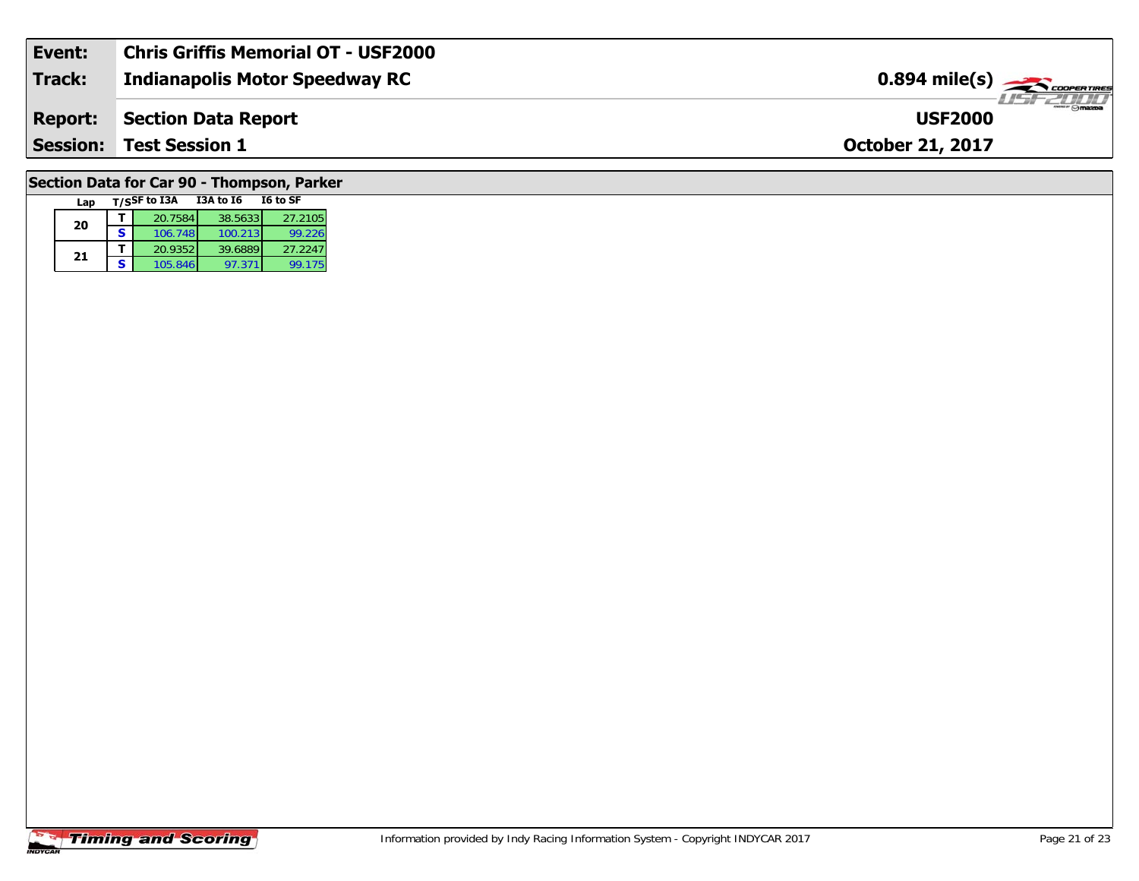| Event:         | <b>Chris Griffis Memorial OT - USF2000</b> |                                                         |
|----------------|--------------------------------------------|---------------------------------------------------------|
| Track:         | <b>Indianapolis Motor Speedway RC</b>      | $0.894$ mile(s) $\overbrace{\hspace{2cm}}$ cooper Tires |
| <b>Report:</b> | Section Data Report                        | $\overline{\Theta}$ mazba<br><b>USF2000</b>             |
|                | <b>Session: Test Session 1</b>             | <b>October 21, 2017</b>                                 |
|                |                                            |                                                         |

# **Section Data for Car 90 - Thompson, Parker**

| Lap |   | T/SSF to I3A | <b>I3A to 16</b> | I6 to SF |
|-----|---|--------------|------------------|----------|
| 20  |   | 20.7584      | 38.5633          | 27.2105  |
|     | s | 106.748      | 100.213          | 99.226   |
|     |   | 20.9352      | 39.6889          | 27.2247  |
| 21  | S | 105.846      | 97.371           | 99.175   |

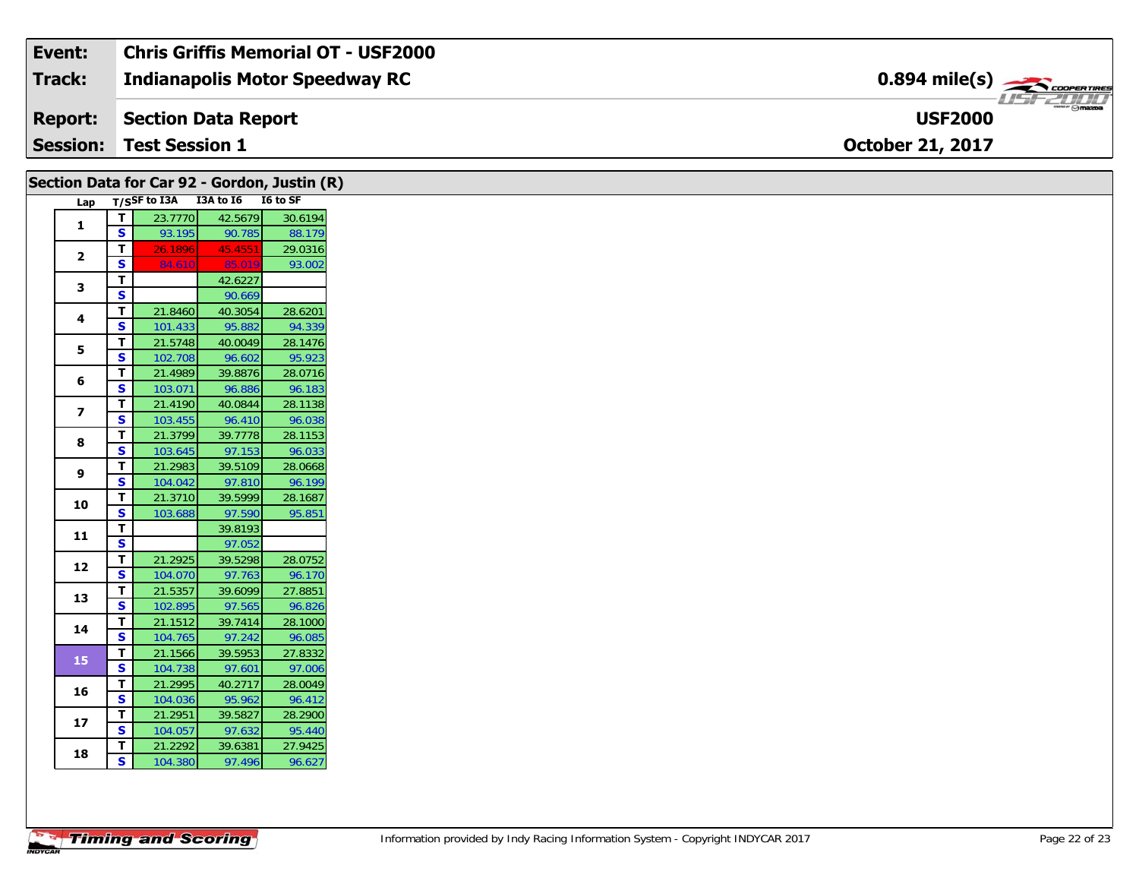| Event:          | Chris Griffis Memorial OT - USF2000 |                                                          |
|-----------------|-------------------------------------|----------------------------------------------------------|
| Track:          | Indianapolis Motor Speedway RC      | $0.894$ mile(s) $\rightarrow$                            |
| <b>Report:</b>  | Section Data Report                 | $\overline{\phantom{m}}$ $\odot$ mazpa<br><b>USF2000</b> |
| <b>Session:</b> | <b>Test Session 1</b>               | <b>October 21, 2017</b>                                  |

|                         |                         | Section Data for Car 92 - Gordon, Justin (R) |                   |                   |
|-------------------------|-------------------------|----------------------------------------------|-------------------|-------------------|
| Lap                     |                         | T/SSF to I3A I3A to I6 I6 to SF              |                   |                   |
| $\mathbf{1}$            | $\mathbf T$             | 23.7770                                      | 42.5679           | 30.6194           |
|                         | $\mathbf{s}$            | 93.195                                       | 90.785            | 88.179            |
| $\mathbf{2}$            | T                       | 26.1896                                      | 45.4551           | 29.0316           |
|                         | S                       | 84.610                                       | 85.019            | 93.002            |
| 3                       | $\mathbf{T}$            |                                              | 42.6227           |                   |
|                         | $\mathbf{s}$            |                                              | 90.669            |                   |
| 4                       | T                       | 21.8460                                      | 40.3054           | 28.6201           |
|                         | ${\sf s}$               | 101.433                                      | 95.882            | 94.339            |
| 5                       | T                       | 21.5748                                      | 40.0049           | 28.1476           |
|                         | $\overline{\mathbf{s}}$ | 102.708                                      | 96.602            | 95.923            |
| 6                       | T<br>S                  | 21.4989                                      | 39.8876           | 28.0716           |
|                         |                         | 103.071                                      | 96.886            | 96.183<br>28.1138 |
| $\overline{\mathbf{z}}$ | T<br>$\mathbf{s}$       | 21.4190                                      | 40.0844           |                   |
|                         |                         | 103.455                                      | 96.410            | 96.038<br>28.1153 |
| 8                       | T<br>S                  | 21.3799                                      | 39.7778<br>97.153 | 96.033            |
|                         | T                       | 103.645<br>21.2983                           | 39.5109           | 28.0668           |
| 9                       | S                       | 104.042                                      | 97.810            | 96.199            |
|                         | $\mathbf T$             | 21.3710                                      | 39.5999           | 28.1687           |
| 10                      | $\overline{\mathbf{s}}$ | 103.688                                      | 97.590            | 95.851            |
|                         | T.                      |                                              | 39.8193           |                   |
| 11                      | S                       |                                              | 97.052            |                   |
|                         | T                       | 21.2925                                      | 39.5298           | 28.0752           |
| 12                      | S                       | 104.070                                      | 97.763            | 96.170            |
|                         | T                       | 21.5357                                      | 39.6099           | 27.8851           |
| 13                      | $\overline{\mathbf{s}}$ | 102.895                                      | 97.565            | 96.826            |
|                         | $\mathbf T$             | 21.1512                                      | 39.7414           | 28.1000           |
| 14                      | S                       | 104.765                                      | 97.242            | 96.085            |
|                         | T                       | 21.1566                                      | 39.5953           | 27.8332           |
| 15                      | $\overline{\mathbf{s}}$ | 104.738                                      | 97.601            | 97.006            |
|                         | T                       | 21.2995                                      | 40.2717           | 28.0049           |
| 16                      | S                       | 104.036                                      | 95.962            | 96.412            |
|                         | T.                      | 21.2951                                      | 39.5827           | 28.2900           |
| 17                      | S                       | 104.057                                      | 97.632            | 95.440            |
|                         | T                       | 21.2292                                      | 39.6381           | 27.9425           |
| 18                      | S                       | 104.380                                      | 97.496            | 96.627            |
|                         |                         |                                              |                   |                   |